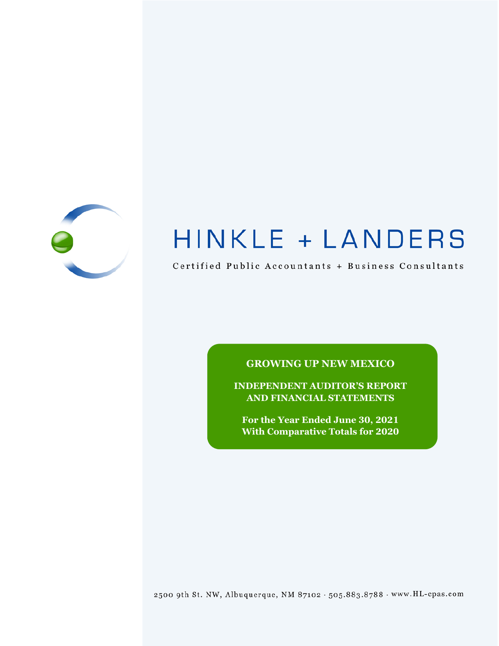

# HINKLE + LANDERS

Certified Public Accountants + Business Consultants

# **GROWING UP NEW MEXICO**

**INDEPENDENT AUDITOR'S REPORT AND FINANCIAL STATEMENTS**

**For the Year Ended June 30, 2021 With Comparative Totals for 2020**

2500 9th St. NW, Albuquerque, NM 87102 . 505.883.8788 . www.HL-cpas.com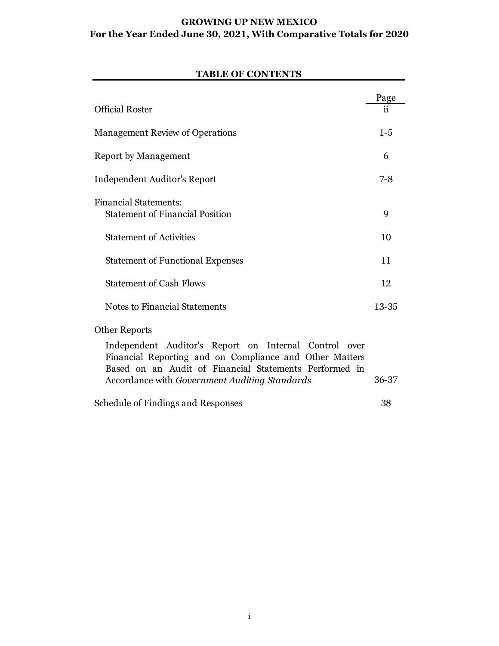# **GROWING UP NEW MEXICO For the Year Ended June 30, 2021, With Comparative Totals for 2020**

# Page Official Roster ii Management Review of Operations 1-5 Report by Management 6 Independent Auditor's Report 7-8 Financial Statements: Statement of Financial Position 9 Statement of Activities 10 Statement of Functional Expenses 11 Statement of Cash Flows 12 Notes to Financial Statements 13-35 Other Reports Independent Auditor's Report on Internal Control over Financial Reporting and on Compliance and Other Matters Based on an Audit of Financial Statements Performed in Accordance with *Government Auditing Standards* 36-37

#### **TABLE OF CONTENTS**

Schedule of Findings and Responses 38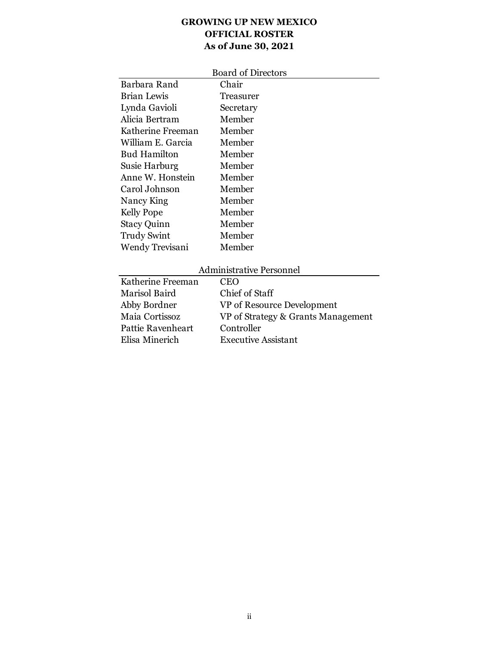# **GROWING UP NEW MEXICO OFFICIAL ROSTER As of June 30, 2021**

|                    | <b>Board of Directors</b> |
|--------------------|---------------------------|
| Barbara Rand       | Chair                     |
| Brian Lewis        | Treasurer                 |
| Lynda Gavioli      | Secretary                 |
| Alicia Bertram     | Member                    |
| Katherine Freeman  | Member                    |
| William E. Garcia  | Member                    |
| Bud Hamilton       | Member                    |
| Susie Harburg      | Member                    |
| Anne W. Honstein   | Member                    |
| Carol Johnson      | Member                    |
| Nancy King         | Member                    |
| <b>Kelly Pope</b>  | Member                    |
| <b>Stacy Quinn</b> | Member                    |
| <b>Trudy Swint</b> | Member                    |
| Wendy Trevisani    | Member                    |
|                    |                           |

# Administrative Personnel

| Katherine Freeman<br>CEO                             |  |
|------------------------------------------------------|--|
| Chief of Staff<br>Marisol Baird                      |  |
| Abby Bordner<br>VP of Resource Development           |  |
| Maia Cortissoz<br>VP of Strategy & Grants Management |  |
| Pattie Ravenheart<br>Controller                      |  |
| Elisa Minerich<br><b>Executive Assistant</b>         |  |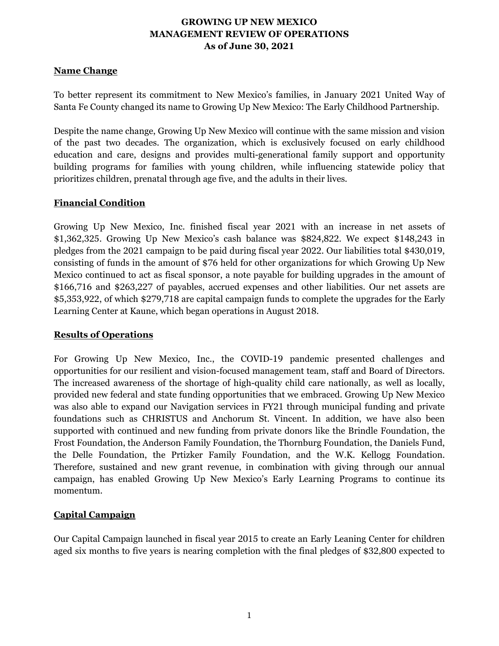#### **Name Change**

To better represent its commitment to New Mexico's families, in January 2021 United Way of Santa Fe County changed its name to Growing Up New Mexico: The Early Childhood Partnership.

Despite the name change, Growing Up New Mexico will continue with the same mission and vision of the past two decades. The organization, which is exclusively focused on early childhood education and care, designs and provides multi-generational family support and opportunity building programs for families with young children, while influencing statewide policy that prioritizes children, prenatal through age five, and the adults in their lives.

#### **Financial Condition**

Growing Up New Mexico, Inc. finished fiscal year 2021 with an increase in net assets of \$1,362,325. Growing Up New Mexico's cash balance was \$824,822. We expect \$148,243 in pledges from the 2021 campaign to be paid during fiscal year 2022. Our liabilities total \$430,019, consisting of funds in the amount of \$76 held for other organizations for which Growing Up New Mexico continued to act as fiscal sponsor, a note payable for building upgrades in the amount of \$166,716 and \$263,227 of payables, accrued expenses and other liabilities. Our net assets are \$5,353,922, of which \$279,718 are capital campaign funds to complete the upgrades for the Early Learning Center at Kaune, which began operations in August 2018.

# **Results of Operations**

For Growing Up New Mexico, Inc., the COVID-19 pandemic presented challenges and opportunities for our resilient and vision-focused management team, staff and Board of Directors. The increased awareness of the shortage of high-quality child care nationally, as well as locally, provided new federal and state funding opportunities that we embraced. Growing Up New Mexico was also able to expand our Navigation services in FY21 through municipal funding and private foundations such as CHRISTUS and Anchorum St. Vincent. In addition, we have also been supported with continued and new funding from private donors like the Brindle Foundation, the Frost Foundation, the Anderson Family Foundation, the Thornburg Foundation, the Daniels Fund, the Delle Foundation, the Prtizker Family Foundation, and the W.K. Kellogg Foundation. Therefore, sustained and new grant revenue, in combination with giving through our annual campaign, has enabled Growing Up New Mexico's Early Learning Programs to continue its momentum.

# **Capital Campaign**

Our Capital Campaign launched in fiscal year 2015 to create an Early Leaning Center for children aged six months to five years is nearing completion with the final pledges of \$32,800 expected to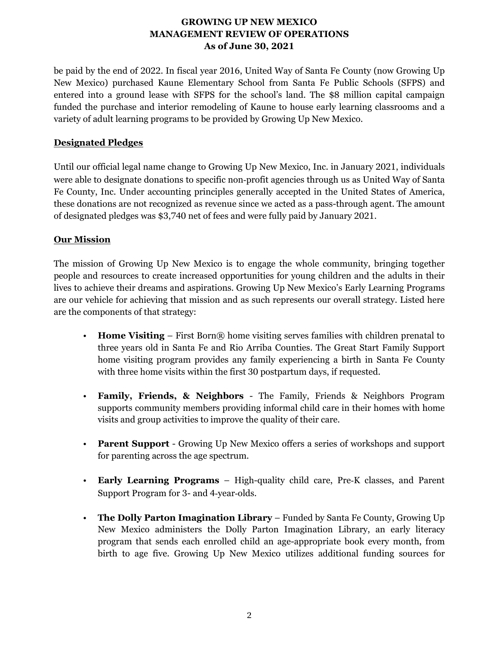be paid by the end of 2022. In fiscal year 2016, United Way of Santa Fe County (now Growing Up New Mexico) purchased Kaune Elementary School from Santa Fe Public Schools (SFPS) and entered into a ground lease with SFPS for the school's land. The \$8 million capital campaign funded the purchase and interior remodeling of Kaune to house early learning classrooms and a variety of adult learning programs to be provided by Growing Up New Mexico.

# **Designated Pledges**

Until our official legal name change to Growing Up New Mexico, Inc. in January 2021, individuals were able to designate donations to specific non-profit agencies through us as United Way of Santa Fe County, Inc. Under accounting principles generally accepted in the United States of America, these donations are not recognized as revenue since we acted as a pass-through agent. The amount of designated pledges was \$3,740 net of fees and were fully paid by January 2021.

# **Our Mission**

The mission of Growing Up New Mexico is to engage the whole community, bringing together people and resources to create increased opportunities for young children and the adults in their lives to achieve their dreams and aspirations. Growing Up New Mexico's Early Learning Programs are our vehicle for achieving that mission and as such represents our overall strategy. Listed here are the components of that strategy:

- **Home Visiting** First Born® home visiting serves families with children prenatal to three years old in Santa Fe and Rio Arriba Counties. The Great Start Family Support home visiting program provides any family experiencing a birth in Santa Fe County with three home visits within the first 30 postpartum days, if requested.
- **Family, Friends, & Neighbors** The Family, Friends & Neighbors Program supports community members providing informal child care in their homes with home visits and group activities to improve the quality of their care.
- **Parent Support** Growing Up New Mexico offers a series of workshops and support for parenting across the age spectrum.
- **Early Learning Programs** High-quality child care, Pre‐K classes, and Parent Support Program for 3- and 4‐year‐olds.
- **The Dolly Parton Imagination Library** Funded by Santa Fe County, Growing Up New Mexico administers the Dolly Parton Imagination Library, an early literacy program that sends each enrolled child an age-appropriate book every month, from birth to age five. Growing Up New Mexico utilizes additional funding sources for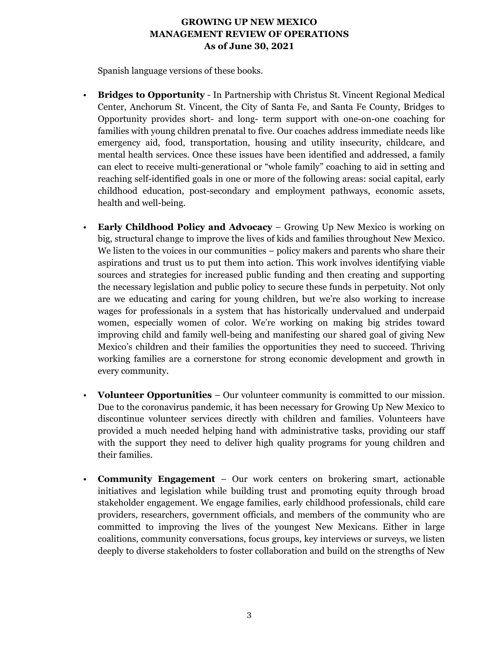Spanish language versions of these books.

- **Bridges to Opportunity** In Partnership with Christus St. Vincent Regional Medical Center, Anchorum St. Vincent, the City of Santa Fe, and Santa Fe County, Bridges to Opportunity provides short- and long- term support with one-on-one coaching for families with young children prenatal to five. Our coaches address immediate needs like emergency aid, food, transportation, housing and utility insecurity, childcare, and mental health services. Once these issues have been identified and addressed, a family can elect to receive multi-generational or "whole family" coaching to aid in setting and reaching self-identified goals in one or more of the following areas: social capital, early childhood education, post-secondary and employment pathways, economic assets, health and well-being.
- **Early Childhood Policy and Advocacy** Growing Up New Mexico is working on big, structural change to improve the lives of kids and families throughout New Mexico. We listen to the voices in our communities – policy makers and parents who share their aspirations and trust us to put them into action. This work involves identifying viable sources and strategies for increased public funding and then creating and supporting the necessary legislation and public policy to secure these funds in perpetuity. Not only are we educating and caring for young children, but we're also working to increase wages for professionals in a system that has historically undervalued and underpaid women, especially women of color. We're working on making big strides toward improving child and family well-being and manifesting our shared goal of giving New Mexico's children and their families the opportunities they need to succeed. Thriving working families are a cornerstone for strong economic development and growth in every community.
- **Volunteer Opportunities** Our volunteer community is committed to our mission. Due to the coronavirus pandemic, it has been necessary for Growing Up New Mexico to discontinue volunteer services directly with children and families. Volunteers have provided a much needed helping hand with administrative tasks, providing our staff with the support they need to deliver high quality programs for young children and their families.
- **Community Engagement** Our work centers on brokering smart, actionable initiatives and legislation while building trust and promoting equity through broad stakeholder engagement. We engage families, early childhood professionals, child care providers, researchers, government officials, and members of the community who are committed to improving the lives of the youngest New Mexicans. Either in large coalitions, community conversations, focus groups, key interviews or surveys, we listen deeply to diverse stakeholders to foster collaboration and build on the strengths of New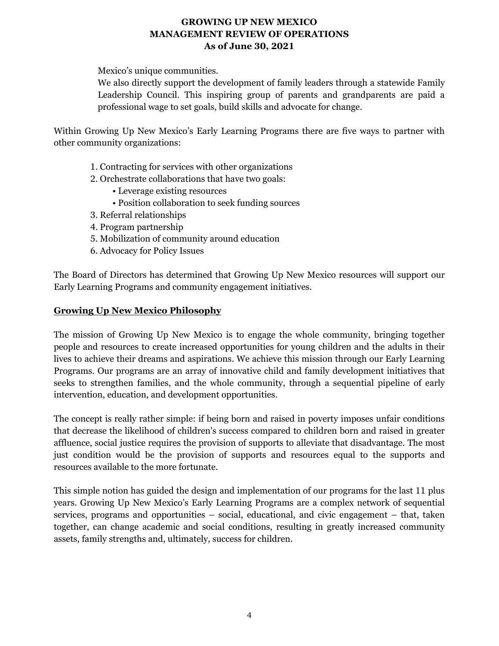Mexico's unique communities.

We also directly support the development of family leaders through a statewide Family Leadership Council. This inspiring group of parents and grandparents are paid a professional wage to set goals, build skills and advocate for change.

Within Growing Up New Mexico's Early Learning Programs there are five ways to partner with other community organizations:

- 1. Contracting for services with other organizations
- 2. Orchestrate collaborations that have two goals:
	- Leverage existing resources
	- Position collaboration to seek funding sources
- 3. Referral relationships
- 4. Program partnership
- 5. Mobilization of community around education
- 6. Advocacy for Policy Issues

The Board of Directors has determined that Growing Up New Mexico resources will support our Early Learning Programs and community engagement initiatives.

#### **Growing Up New Mexico Philosophy**

The mission of Growing Up New Mexico is to engage the whole community, bringing together people and resources to create increased opportunities for young children and the adults in their lives to achieve their dreams and aspirations. We achieve this mission through our Early Learning Programs. Our programs are an array of innovative child and family development initiatives that seeks to strengthen families, and the whole community, through a sequential pipeline of early intervention, education, and development opportunities.

The concept is really rather simple: if being born and raised in poverty imposes unfair conditions that decrease the likelihood of children's success compared to children born and raised in greater affluence, social justice requires the provision of supports to alleviate that disadvantage. The most just condition would be the provision of supports and resources equal to the supports and resources available to the more fortunate.

This simple notion has guided the design and implementation of our programs for the last 11 plus years. Growing Up New Mexico's Early Learning Programs are a complex network of sequential services, programs and opportunities – social, educational, and civic engagement – that, taken together, can change academic and social conditions, resulting in greatly increased community assets, family strengths and, ultimately, success for children.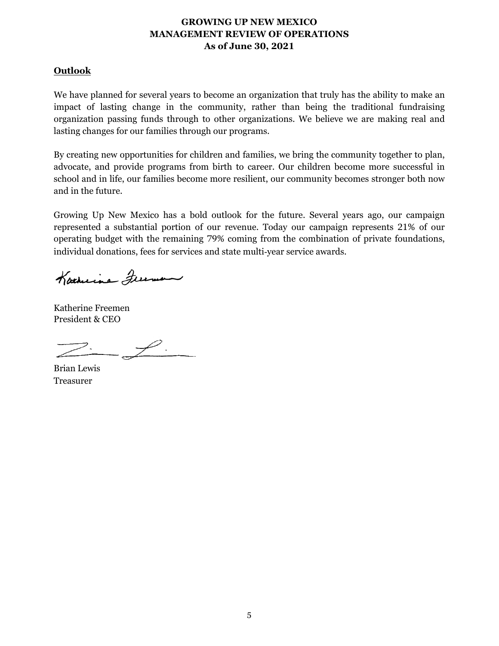#### **Outlook**

We have planned for several years to become an organization that truly has the ability to make an impact of lasting change in the community, rather than being the traditional fundraising organization passing funds through to other organizations. We believe we are making real and lasting changes for our families through our programs.

By creating new opportunities for children and families, we bring the community together to plan, advocate, and provide programs from birth to career. Our children become more successful in school and in life, our families become more resilient, our community becomes stronger both now and in the future.

Growing Up New Mexico has a bold outlook for the future. Several years ago, our campaign represented a substantial portion of our revenue. Today our campaign represents 21% of our operating budget with the remaining 79% coming from the combination of private foundations, individual donations, fees for services and state multi-year service awards.

Katherine Freeman

Katherine Freemen President & CEO

 $-\frac{\rho}{\sqrt{2}}$ 

Brian Lewis Treasurer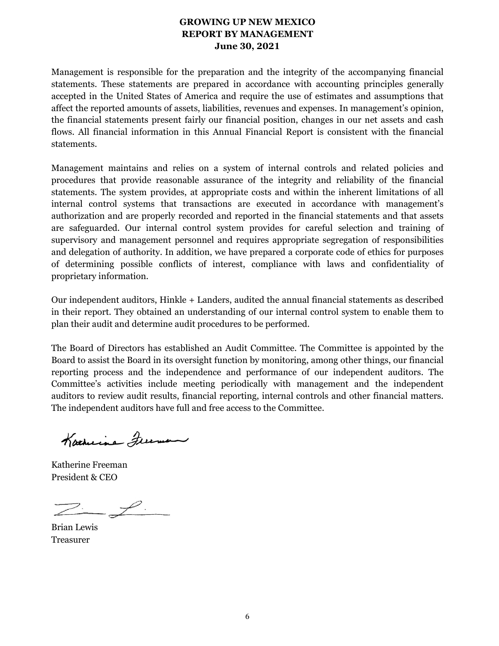# **GROWING UP NEW MEXICO REPORT BY MANAGEMENT June 30, 2021**

Management is responsible for the preparation and the integrity of the accompanying financial statements. These statements are prepared in accordance with accounting principles generally accepted in the United States of America and require the use of estimates and assumptions that affect the reported amounts of assets, liabilities, revenues and expenses. In management's opinion, the financial statements present fairly our financial position, changes in our net assets and cash flows. All financial information in this Annual Financial Report is consistent with the financial statements.

Management maintains and relies on a system of internal controls and related policies and procedures that provide reasonable assurance of the integrity and reliability of the financial statements. The system provides, at appropriate costs and within the inherent limitations of all internal control systems that transactions are executed in accordance with management's authorization and are properly recorded and reported in the financial statements and that assets are safeguarded. Our internal control system provides for careful selection and training of supervisory and management personnel and requires appropriate segregation of responsibilities and delegation of authority. In addition, we have prepared a corporate code of ethics for purposes of determining possible conflicts of interest, compliance with laws and confidentiality of proprietary information.

Our independent auditors, Hinkle + Landers, audited the annual financial statements as described in their report. They obtained an understanding of our internal control system to enable them to plan their audit and determine audit procedures to be performed.

The Board of Directors has established an Audit Committee. The Committee is appointed by the Board to assist the Board in its oversight function by monitoring, among other things, our financial reporting process and the independence and performance of our independent auditors. The Committee's activities include meeting periodically with management and the independent auditors to review audit results, financial reporting, internal controls and other financial matters. The independent auditors have full and free access to the Committee.

Karneine Freeman

Katherine Freeman President & CEO

 $Z - f$ 

Brian Lewis Treasurer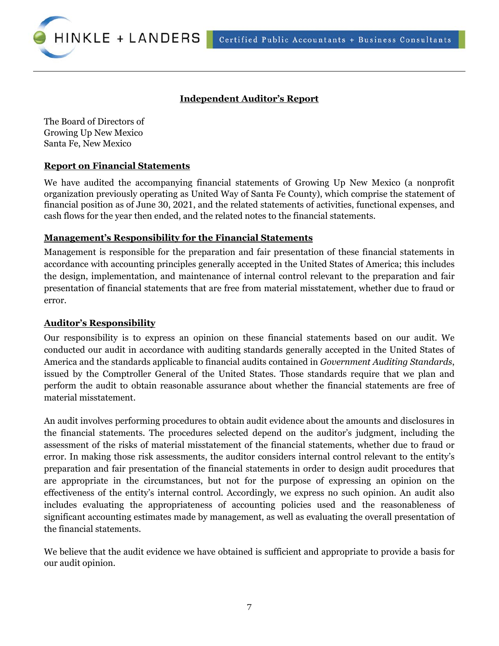Certified Public Accountants + Business Consultants



### **Independent Auditor's Report**

The Board of Directors of Growing Up New Mexico Santa Fe, New Mexico

#### **Report on Financial Statements**

We have audited the accompanying financial statements of Growing Up New Mexico (a nonprofit organization previously operating as United Way of Santa Fe County), which comprise the statement of financial position as of June 30, 2021, and the related statements of activities, functional expenses, and cash flows for the year then ended, and the related notes to the financial statements.

#### **Management's Responsibility for the Financial Statements**

Management is responsible for the preparation and fair presentation of these financial statements in accordance with accounting principles generally accepted in the United States of America; this includes the design, implementation, and maintenance of internal control relevant to the preparation and fair presentation of financial statements that are free from material misstatement, whether due to fraud or error.

#### **Auditor's Responsibility**

Our responsibility is to express an opinion on these financial statements based on our audit. We conducted our audit in accordance with auditing standards generally accepted in the United States of America and the standards applicable to financial audits contained in *Government Auditing Standards*, issued by the Comptroller General of the United States. Those standards require that we plan and perform the audit to obtain reasonable assurance about whether the financial statements are free of material misstatement.

An audit involves performing procedures to obtain audit evidence about the amounts and disclosures in the financial statements. The procedures selected depend on the auditor's judgment, including the assessment of the risks of material misstatement of the financial statements, whether due to fraud or error. In making those risk assessments, the auditor considers internal control relevant to the entity's preparation and fair presentation of the financial statements in order to design audit procedures that are appropriate in the circumstances, but not for the purpose of expressing an opinion on the effectiveness of the entity's internal control. Accordingly, we express no such opinion. An audit also includes evaluating the appropriateness of accounting policies used and the reasonableness of significant accounting estimates made by management, as well as evaluating the overall presentation of the financial statements.

We believe that the audit evidence we have obtained is sufficient and appropriate to provide a basis for our audit opinion.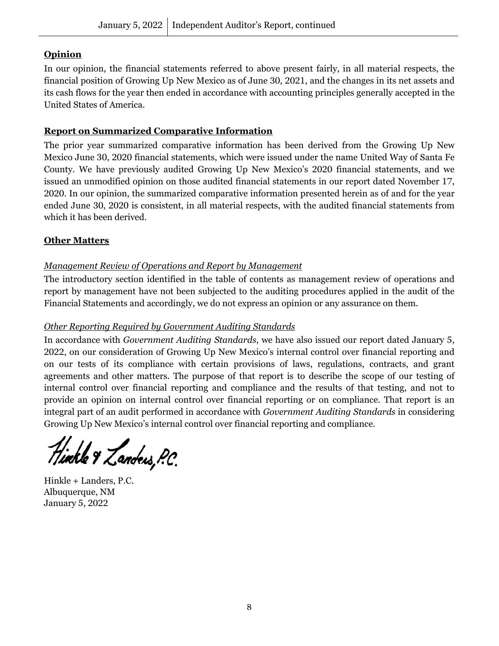# **Opinion**

In our opinion, the financial statements referred to above present fairly, in all material respects, the financial position of Growing Up New Mexico as of June 30, 2021, and the changes in its net assets and its cash flows for the year then ended in accordance with accounting principles generally accepted in the United States of America.

# **Report on Summarized Comparative Information**

The prior year summarized comparative information has been derived from the Growing Up New Mexico June 30, 2020 financial statements, which were issued under the name United Way of Santa Fe County. We have previously audited Growing Up New Mexico's 2020 financial statements, and we issued an unmodified opinion on those audited financial statements in our report dated November 17, 2020. In our opinion, the summarized comparative information presented herein as of and for the year ended June 30, 2020 is consistent, in all material respects, with the audited financial statements from which it has been derived.

# **Other Matters**

# *Management Review of Operations and Report by Management*

The introductory section identified in the table of contents as management review of operations and report by management have not been subjected to the auditing procedures applied in the audit of the Financial Statements and accordingly, we do not express an opinion or any assurance on them.

# *Other Reporting Required by Government Auditing Standards*

In accordance with *Government Auditing Standards*, we have also issued our report dated January 5, 2022, on our consideration of Growing Up New Mexico's internal control over financial reporting and on our tests of its compliance with certain provisions of laws, regulations, contracts, and grant agreements and other matters. The purpose of that report is to describe the scope of our testing of internal control over financial reporting and compliance and the results of that testing, and not to provide an opinion on internal control over financial reporting or on compliance. That report is an integral part of an audit performed in accordance with *Government Auditing Standards* in considering Growing Up New Mexico's internal control over financial reporting and compliance.

.<br>Tinkle & Zandeis, P.C.

Hinkle + Landers, P.C. Albuquerque, NM January 5, 2022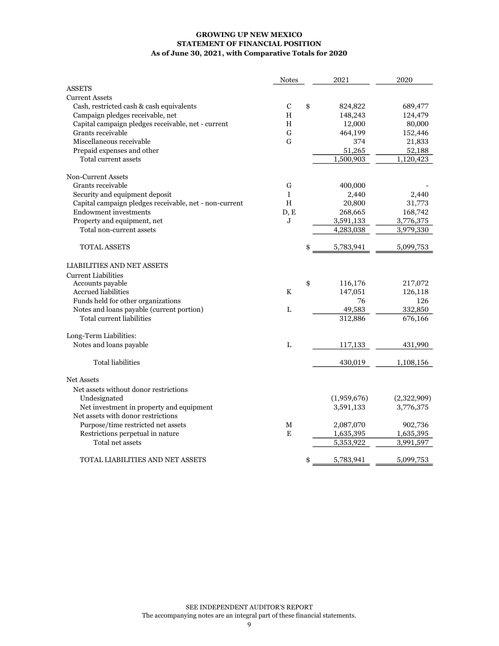#### GROWING UP NEW MEXICO STATEMENT OF FINANCIAL POSITION As of June 30, 2021, with Comparative Totals for 2020

|                                                        | <b>Notes</b> | 2021            | 2020        |
|--------------------------------------------------------|--------------|-----------------|-------------|
| <b>ASSETS</b>                                          |              |                 |             |
| <b>Current Assets</b>                                  |              |                 |             |
| Cash, restricted cash & cash equivalents               | C            | \$<br>824,822   | 689,477     |
| Campaign pledges receivable, net                       | H            | 148,243         | 124,479     |
| Capital campaign pledges receivable, net - current     | H            | 12,000          | 80,000      |
| Grants receivable                                      | $\mathbf G$  | 464,199         | 152,446     |
| Miscellaneous receivable                               | G            | 374             | 21,833      |
| Prepaid expenses and other                             |              | 51,265          | 52,188      |
| Total current assets                                   |              | 1,500,903       | 1,120,423   |
| Non-Current Assets                                     |              |                 |             |
| Grants receivable                                      | G            | 400,000         |             |
| Security and equipment deposit                         | $\mathbf{I}$ | 2,440           | 2,440       |
| Capital campaign pledges receivable, net - non-current | $\, {\rm H}$ | 20,800          | 31,773      |
| <b>Endowment investments</b>                           | D, E         | 268,665         | 168,742     |
| Property and equipment, net                            | J            | 3,591,133       | 3,776,375   |
| Total non-current assets                               |              | 4,283,038       | 3,979,330   |
| <b>TOTAL ASSETS</b>                                    |              | 5,783,941       | 5,099,753   |
| <b>LIABILITIES AND NET ASSETS</b>                      |              |                 |             |
| <b>Current Liabilities</b>                             |              |                 |             |
| Accounts payable                                       |              | \$<br>116,176   | 217,072     |
| <b>Accrued liabilities</b>                             | K            | 147,051         | 126,118     |
| Funds held for other organizations                     |              | 76              | 126         |
| Notes and loans payable (current portion)              | L            | 49,583          | 332,850     |
| Total current liabilities                              |              | 312,886         | 676,166     |
| Long-Term Liabilities:                                 |              |                 |             |
| Notes and loans payable                                | L            | 117,133         | 431,990     |
| <b>Total liabilities</b>                               |              | 430,019         | 1,108,156   |
| <b>Net Assets</b>                                      |              |                 |             |
| Net assets without donor restrictions                  |              |                 |             |
| Undesignated                                           |              | (1,959,676)     | (2,322,909) |
| Net investment in property and equipment               |              | 3,591,133       | 3,776,375   |
| Net assets with donor restrictions                     |              |                 |             |
| Purpose/time restricted net assets                     | М            | 2,087,070       | 902,736     |
| Restrictions perpetual in nature                       | E            | 1,635,395       | 1,635,395   |
| Total net assets                                       |              | 5,353,922       | 3,991,597   |
| TOTAL LIABILITIES AND NET ASSETS                       |              | \$<br>5,783,941 | 5,099,753   |
|                                                        |              |                 |             |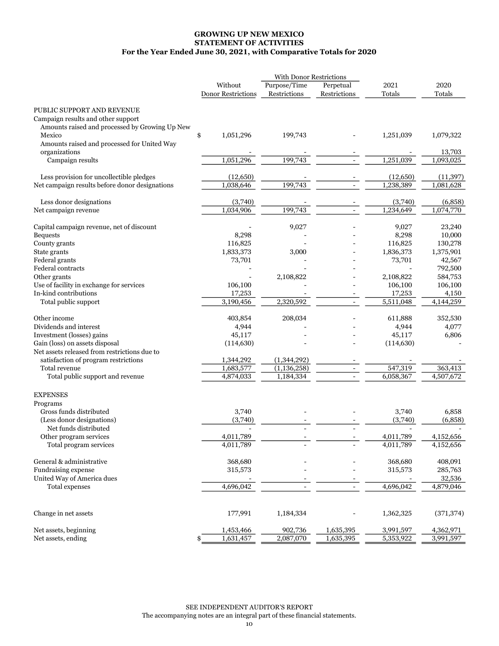#### GROWING UP NEW MEXICO STATEMENT OF ACTIVITIES For the Year Ended June 30, 2021, with Comparative Totals for 2020

| Without<br>Perpetual<br>2021<br>2020<br>Restrictions<br><b>Donor Restrictions</b><br>Restrictions<br>Totals<br>Totals<br>PUBLIC SUPPORT AND REVENUE<br>Campaign results and other support<br>Amounts raised and processed by Growing Up New<br>Mexico<br>\$<br>1,051,296<br>199,743<br>1,251,039<br>1,079,322<br>Amounts raised and processed for United Way<br>organizations<br>13,703<br>1,051,296<br>199,743<br>1,251,039<br>1,093,025<br>Campaign results<br>Less provision for uncollectible pledges<br>(12,650)<br>(12,650)<br>(11, 397)<br>199,743<br>1,238,389<br>1,038,646<br>Net campaign results before donor designations<br>1,081,628<br>$\overline{a}$<br>Less donor designations<br>(3,740)<br>(3,740)<br>(6,858)<br>199,743<br>1,234,649<br>1,034,906<br>1,074,770<br>Net campaign revenue<br>Capital campaign revenue, net of discount<br>9,027<br>9,027<br>23,240<br>8,298<br>8,298<br>10,000<br><b>Bequests</b><br>116,825<br>116,825<br>130,278<br>County grants<br>1,833,373<br>1,375,901<br>State grants<br>3,000<br>1,836,373<br>Federal grants<br>73,701<br>73,701<br>42,567<br>792,500<br>Federal contracts<br>584,753<br>Other grants<br>2,108,822<br>2,108,822<br>Use of facility in exchange for services<br>106,100<br>106,100<br>106,100<br>In-kind contributions<br>17,253<br>17,253<br>4,150<br>5,511,048<br>3,190,456<br>2,320,592<br>4,144,259<br>Total public support<br>$\overline{\phantom{a}}$<br>208,034<br>Other income<br>403,854<br>611,888<br>352,530<br>Dividends and interest<br>4,944<br>4,944<br>4,077<br>Investment (losses) gains<br>45,117<br>45,117<br>6,806<br>Gain (loss) on assets disposal<br>(114, 630)<br>(114, 630)<br>Net assets released from restrictions due to<br>satisfaction of program restrictions<br>1,344,292<br>(1,344,292)<br>547,319<br>Total revenue<br>1,683,577<br>(1, 136, 258)<br>363,413<br>4,874,033<br>6,058,367<br>Total public support and revenue<br>1,184,334<br>4,507,672<br><b>EXPENSES</b><br>Programs<br>Gross funds distributed<br>3,740<br>3,740<br>6,858<br>(Less donor designations)<br>(3,740)<br>(3,740)<br>(6,858)<br>Net funds distributed<br>Other program services<br>4,011,789<br>4,011,789<br>4,152,656<br>Total program services<br>4,011,789<br>4,011,789<br>4,152,656<br>General & administrative<br>368,680<br>408,091<br>368,680<br>Fundraising expense<br>285,763<br>315,573<br>315,573<br>United Way of America dues<br>32,536<br>Total expenses<br>$\overline{4,696,042}$<br>4,696,042<br>4,879,046<br>Change in net assets<br>177,991<br>1,184,334<br>(371, 374)<br>1,362,325<br>Net assets, beginning<br>1,453,466<br>902,736<br>1,635,395<br>3,991,597<br>4,362,971<br>Net assets, ending<br>1,631,457<br>2,087,070<br>1,635,395<br>5,353,922<br>3,991,597<br>\$ |  | With Donor Restrictions |  |  |
|---------------------------------------------------------------------------------------------------------------------------------------------------------------------------------------------------------------------------------------------------------------------------------------------------------------------------------------------------------------------------------------------------------------------------------------------------------------------------------------------------------------------------------------------------------------------------------------------------------------------------------------------------------------------------------------------------------------------------------------------------------------------------------------------------------------------------------------------------------------------------------------------------------------------------------------------------------------------------------------------------------------------------------------------------------------------------------------------------------------------------------------------------------------------------------------------------------------------------------------------------------------------------------------------------------------------------------------------------------------------------------------------------------------------------------------------------------------------------------------------------------------------------------------------------------------------------------------------------------------------------------------------------------------------------------------------------------------------------------------------------------------------------------------------------------------------------------------------------------------------------------------------------------------------------------------------------------------------------------------------------------------------------------------------------------------------------------------------------------------------------------------------------------------------------------------------------------------------------------------------------------------------------------------------------------------------------------------------------------------------------------------------------------------------------------------------------------------------------------------------------------------------------------------------------------------------------------------------------------------------------------------------------------------------------------------------------------------------------------------------------------------------------------|--|-------------------------|--|--|
|                                                                                                                                                                                                                                                                                                                                                                                                                                                                                                                                                                                                                                                                                                                                                                                                                                                                                                                                                                                                                                                                                                                                                                                                                                                                                                                                                                                                                                                                                                                                                                                                                                                                                                                                                                                                                                                                                                                                                                                                                                                                                                                                                                                                                                                                                                                                                                                                                                                                                                                                                                                                                                                                                                                                                                                 |  | Purpose/Time            |  |  |
|                                                                                                                                                                                                                                                                                                                                                                                                                                                                                                                                                                                                                                                                                                                                                                                                                                                                                                                                                                                                                                                                                                                                                                                                                                                                                                                                                                                                                                                                                                                                                                                                                                                                                                                                                                                                                                                                                                                                                                                                                                                                                                                                                                                                                                                                                                                                                                                                                                                                                                                                                                                                                                                                                                                                                                                 |  |                         |  |  |
|                                                                                                                                                                                                                                                                                                                                                                                                                                                                                                                                                                                                                                                                                                                                                                                                                                                                                                                                                                                                                                                                                                                                                                                                                                                                                                                                                                                                                                                                                                                                                                                                                                                                                                                                                                                                                                                                                                                                                                                                                                                                                                                                                                                                                                                                                                                                                                                                                                                                                                                                                                                                                                                                                                                                                                                 |  |                         |  |  |
|                                                                                                                                                                                                                                                                                                                                                                                                                                                                                                                                                                                                                                                                                                                                                                                                                                                                                                                                                                                                                                                                                                                                                                                                                                                                                                                                                                                                                                                                                                                                                                                                                                                                                                                                                                                                                                                                                                                                                                                                                                                                                                                                                                                                                                                                                                                                                                                                                                                                                                                                                                                                                                                                                                                                                                                 |  |                         |  |  |
|                                                                                                                                                                                                                                                                                                                                                                                                                                                                                                                                                                                                                                                                                                                                                                                                                                                                                                                                                                                                                                                                                                                                                                                                                                                                                                                                                                                                                                                                                                                                                                                                                                                                                                                                                                                                                                                                                                                                                                                                                                                                                                                                                                                                                                                                                                                                                                                                                                                                                                                                                                                                                                                                                                                                                                                 |  |                         |  |  |
|                                                                                                                                                                                                                                                                                                                                                                                                                                                                                                                                                                                                                                                                                                                                                                                                                                                                                                                                                                                                                                                                                                                                                                                                                                                                                                                                                                                                                                                                                                                                                                                                                                                                                                                                                                                                                                                                                                                                                                                                                                                                                                                                                                                                                                                                                                                                                                                                                                                                                                                                                                                                                                                                                                                                                                                 |  |                         |  |  |
|                                                                                                                                                                                                                                                                                                                                                                                                                                                                                                                                                                                                                                                                                                                                                                                                                                                                                                                                                                                                                                                                                                                                                                                                                                                                                                                                                                                                                                                                                                                                                                                                                                                                                                                                                                                                                                                                                                                                                                                                                                                                                                                                                                                                                                                                                                                                                                                                                                                                                                                                                                                                                                                                                                                                                                                 |  |                         |  |  |
|                                                                                                                                                                                                                                                                                                                                                                                                                                                                                                                                                                                                                                                                                                                                                                                                                                                                                                                                                                                                                                                                                                                                                                                                                                                                                                                                                                                                                                                                                                                                                                                                                                                                                                                                                                                                                                                                                                                                                                                                                                                                                                                                                                                                                                                                                                                                                                                                                                                                                                                                                                                                                                                                                                                                                                                 |  |                         |  |  |
|                                                                                                                                                                                                                                                                                                                                                                                                                                                                                                                                                                                                                                                                                                                                                                                                                                                                                                                                                                                                                                                                                                                                                                                                                                                                                                                                                                                                                                                                                                                                                                                                                                                                                                                                                                                                                                                                                                                                                                                                                                                                                                                                                                                                                                                                                                                                                                                                                                                                                                                                                                                                                                                                                                                                                                                 |  |                         |  |  |
|                                                                                                                                                                                                                                                                                                                                                                                                                                                                                                                                                                                                                                                                                                                                                                                                                                                                                                                                                                                                                                                                                                                                                                                                                                                                                                                                                                                                                                                                                                                                                                                                                                                                                                                                                                                                                                                                                                                                                                                                                                                                                                                                                                                                                                                                                                                                                                                                                                                                                                                                                                                                                                                                                                                                                                                 |  |                         |  |  |
|                                                                                                                                                                                                                                                                                                                                                                                                                                                                                                                                                                                                                                                                                                                                                                                                                                                                                                                                                                                                                                                                                                                                                                                                                                                                                                                                                                                                                                                                                                                                                                                                                                                                                                                                                                                                                                                                                                                                                                                                                                                                                                                                                                                                                                                                                                                                                                                                                                                                                                                                                                                                                                                                                                                                                                                 |  |                         |  |  |
|                                                                                                                                                                                                                                                                                                                                                                                                                                                                                                                                                                                                                                                                                                                                                                                                                                                                                                                                                                                                                                                                                                                                                                                                                                                                                                                                                                                                                                                                                                                                                                                                                                                                                                                                                                                                                                                                                                                                                                                                                                                                                                                                                                                                                                                                                                                                                                                                                                                                                                                                                                                                                                                                                                                                                                                 |  |                         |  |  |
|                                                                                                                                                                                                                                                                                                                                                                                                                                                                                                                                                                                                                                                                                                                                                                                                                                                                                                                                                                                                                                                                                                                                                                                                                                                                                                                                                                                                                                                                                                                                                                                                                                                                                                                                                                                                                                                                                                                                                                                                                                                                                                                                                                                                                                                                                                                                                                                                                                                                                                                                                                                                                                                                                                                                                                                 |  |                         |  |  |
|                                                                                                                                                                                                                                                                                                                                                                                                                                                                                                                                                                                                                                                                                                                                                                                                                                                                                                                                                                                                                                                                                                                                                                                                                                                                                                                                                                                                                                                                                                                                                                                                                                                                                                                                                                                                                                                                                                                                                                                                                                                                                                                                                                                                                                                                                                                                                                                                                                                                                                                                                                                                                                                                                                                                                                                 |  |                         |  |  |
|                                                                                                                                                                                                                                                                                                                                                                                                                                                                                                                                                                                                                                                                                                                                                                                                                                                                                                                                                                                                                                                                                                                                                                                                                                                                                                                                                                                                                                                                                                                                                                                                                                                                                                                                                                                                                                                                                                                                                                                                                                                                                                                                                                                                                                                                                                                                                                                                                                                                                                                                                                                                                                                                                                                                                                                 |  |                         |  |  |
|                                                                                                                                                                                                                                                                                                                                                                                                                                                                                                                                                                                                                                                                                                                                                                                                                                                                                                                                                                                                                                                                                                                                                                                                                                                                                                                                                                                                                                                                                                                                                                                                                                                                                                                                                                                                                                                                                                                                                                                                                                                                                                                                                                                                                                                                                                                                                                                                                                                                                                                                                                                                                                                                                                                                                                                 |  |                         |  |  |
|                                                                                                                                                                                                                                                                                                                                                                                                                                                                                                                                                                                                                                                                                                                                                                                                                                                                                                                                                                                                                                                                                                                                                                                                                                                                                                                                                                                                                                                                                                                                                                                                                                                                                                                                                                                                                                                                                                                                                                                                                                                                                                                                                                                                                                                                                                                                                                                                                                                                                                                                                                                                                                                                                                                                                                                 |  |                         |  |  |
|                                                                                                                                                                                                                                                                                                                                                                                                                                                                                                                                                                                                                                                                                                                                                                                                                                                                                                                                                                                                                                                                                                                                                                                                                                                                                                                                                                                                                                                                                                                                                                                                                                                                                                                                                                                                                                                                                                                                                                                                                                                                                                                                                                                                                                                                                                                                                                                                                                                                                                                                                                                                                                                                                                                                                                                 |  |                         |  |  |
|                                                                                                                                                                                                                                                                                                                                                                                                                                                                                                                                                                                                                                                                                                                                                                                                                                                                                                                                                                                                                                                                                                                                                                                                                                                                                                                                                                                                                                                                                                                                                                                                                                                                                                                                                                                                                                                                                                                                                                                                                                                                                                                                                                                                                                                                                                                                                                                                                                                                                                                                                                                                                                                                                                                                                                                 |  |                         |  |  |
|                                                                                                                                                                                                                                                                                                                                                                                                                                                                                                                                                                                                                                                                                                                                                                                                                                                                                                                                                                                                                                                                                                                                                                                                                                                                                                                                                                                                                                                                                                                                                                                                                                                                                                                                                                                                                                                                                                                                                                                                                                                                                                                                                                                                                                                                                                                                                                                                                                                                                                                                                                                                                                                                                                                                                                                 |  |                         |  |  |
|                                                                                                                                                                                                                                                                                                                                                                                                                                                                                                                                                                                                                                                                                                                                                                                                                                                                                                                                                                                                                                                                                                                                                                                                                                                                                                                                                                                                                                                                                                                                                                                                                                                                                                                                                                                                                                                                                                                                                                                                                                                                                                                                                                                                                                                                                                                                                                                                                                                                                                                                                                                                                                                                                                                                                                                 |  |                         |  |  |
|                                                                                                                                                                                                                                                                                                                                                                                                                                                                                                                                                                                                                                                                                                                                                                                                                                                                                                                                                                                                                                                                                                                                                                                                                                                                                                                                                                                                                                                                                                                                                                                                                                                                                                                                                                                                                                                                                                                                                                                                                                                                                                                                                                                                                                                                                                                                                                                                                                                                                                                                                                                                                                                                                                                                                                                 |  |                         |  |  |
|                                                                                                                                                                                                                                                                                                                                                                                                                                                                                                                                                                                                                                                                                                                                                                                                                                                                                                                                                                                                                                                                                                                                                                                                                                                                                                                                                                                                                                                                                                                                                                                                                                                                                                                                                                                                                                                                                                                                                                                                                                                                                                                                                                                                                                                                                                                                                                                                                                                                                                                                                                                                                                                                                                                                                                                 |  |                         |  |  |
|                                                                                                                                                                                                                                                                                                                                                                                                                                                                                                                                                                                                                                                                                                                                                                                                                                                                                                                                                                                                                                                                                                                                                                                                                                                                                                                                                                                                                                                                                                                                                                                                                                                                                                                                                                                                                                                                                                                                                                                                                                                                                                                                                                                                                                                                                                                                                                                                                                                                                                                                                                                                                                                                                                                                                                                 |  |                         |  |  |
|                                                                                                                                                                                                                                                                                                                                                                                                                                                                                                                                                                                                                                                                                                                                                                                                                                                                                                                                                                                                                                                                                                                                                                                                                                                                                                                                                                                                                                                                                                                                                                                                                                                                                                                                                                                                                                                                                                                                                                                                                                                                                                                                                                                                                                                                                                                                                                                                                                                                                                                                                                                                                                                                                                                                                                                 |  |                         |  |  |
|                                                                                                                                                                                                                                                                                                                                                                                                                                                                                                                                                                                                                                                                                                                                                                                                                                                                                                                                                                                                                                                                                                                                                                                                                                                                                                                                                                                                                                                                                                                                                                                                                                                                                                                                                                                                                                                                                                                                                                                                                                                                                                                                                                                                                                                                                                                                                                                                                                                                                                                                                                                                                                                                                                                                                                                 |  |                         |  |  |
|                                                                                                                                                                                                                                                                                                                                                                                                                                                                                                                                                                                                                                                                                                                                                                                                                                                                                                                                                                                                                                                                                                                                                                                                                                                                                                                                                                                                                                                                                                                                                                                                                                                                                                                                                                                                                                                                                                                                                                                                                                                                                                                                                                                                                                                                                                                                                                                                                                                                                                                                                                                                                                                                                                                                                                                 |  |                         |  |  |
|                                                                                                                                                                                                                                                                                                                                                                                                                                                                                                                                                                                                                                                                                                                                                                                                                                                                                                                                                                                                                                                                                                                                                                                                                                                                                                                                                                                                                                                                                                                                                                                                                                                                                                                                                                                                                                                                                                                                                                                                                                                                                                                                                                                                                                                                                                                                                                                                                                                                                                                                                                                                                                                                                                                                                                                 |  |                         |  |  |
|                                                                                                                                                                                                                                                                                                                                                                                                                                                                                                                                                                                                                                                                                                                                                                                                                                                                                                                                                                                                                                                                                                                                                                                                                                                                                                                                                                                                                                                                                                                                                                                                                                                                                                                                                                                                                                                                                                                                                                                                                                                                                                                                                                                                                                                                                                                                                                                                                                                                                                                                                                                                                                                                                                                                                                                 |  |                         |  |  |
|                                                                                                                                                                                                                                                                                                                                                                                                                                                                                                                                                                                                                                                                                                                                                                                                                                                                                                                                                                                                                                                                                                                                                                                                                                                                                                                                                                                                                                                                                                                                                                                                                                                                                                                                                                                                                                                                                                                                                                                                                                                                                                                                                                                                                                                                                                                                                                                                                                                                                                                                                                                                                                                                                                                                                                                 |  |                         |  |  |
|                                                                                                                                                                                                                                                                                                                                                                                                                                                                                                                                                                                                                                                                                                                                                                                                                                                                                                                                                                                                                                                                                                                                                                                                                                                                                                                                                                                                                                                                                                                                                                                                                                                                                                                                                                                                                                                                                                                                                                                                                                                                                                                                                                                                                                                                                                                                                                                                                                                                                                                                                                                                                                                                                                                                                                                 |  |                         |  |  |
|                                                                                                                                                                                                                                                                                                                                                                                                                                                                                                                                                                                                                                                                                                                                                                                                                                                                                                                                                                                                                                                                                                                                                                                                                                                                                                                                                                                                                                                                                                                                                                                                                                                                                                                                                                                                                                                                                                                                                                                                                                                                                                                                                                                                                                                                                                                                                                                                                                                                                                                                                                                                                                                                                                                                                                                 |  |                         |  |  |
|                                                                                                                                                                                                                                                                                                                                                                                                                                                                                                                                                                                                                                                                                                                                                                                                                                                                                                                                                                                                                                                                                                                                                                                                                                                                                                                                                                                                                                                                                                                                                                                                                                                                                                                                                                                                                                                                                                                                                                                                                                                                                                                                                                                                                                                                                                                                                                                                                                                                                                                                                                                                                                                                                                                                                                                 |  |                         |  |  |
|                                                                                                                                                                                                                                                                                                                                                                                                                                                                                                                                                                                                                                                                                                                                                                                                                                                                                                                                                                                                                                                                                                                                                                                                                                                                                                                                                                                                                                                                                                                                                                                                                                                                                                                                                                                                                                                                                                                                                                                                                                                                                                                                                                                                                                                                                                                                                                                                                                                                                                                                                                                                                                                                                                                                                                                 |  |                         |  |  |
|                                                                                                                                                                                                                                                                                                                                                                                                                                                                                                                                                                                                                                                                                                                                                                                                                                                                                                                                                                                                                                                                                                                                                                                                                                                                                                                                                                                                                                                                                                                                                                                                                                                                                                                                                                                                                                                                                                                                                                                                                                                                                                                                                                                                                                                                                                                                                                                                                                                                                                                                                                                                                                                                                                                                                                                 |  |                         |  |  |
|                                                                                                                                                                                                                                                                                                                                                                                                                                                                                                                                                                                                                                                                                                                                                                                                                                                                                                                                                                                                                                                                                                                                                                                                                                                                                                                                                                                                                                                                                                                                                                                                                                                                                                                                                                                                                                                                                                                                                                                                                                                                                                                                                                                                                                                                                                                                                                                                                                                                                                                                                                                                                                                                                                                                                                                 |  |                         |  |  |
|                                                                                                                                                                                                                                                                                                                                                                                                                                                                                                                                                                                                                                                                                                                                                                                                                                                                                                                                                                                                                                                                                                                                                                                                                                                                                                                                                                                                                                                                                                                                                                                                                                                                                                                                                                                                                                                                                                                                                                                                                                                                                                                                                                                                                                                                                                                                                                                                                                                                                                                                                                                                                                                                                                                                                                                 |  |                         |  |  |
|                                                                                                                                                                                                                                                                                                                                                                                                                                                                                                                                                                                                                                                                                                                                                                                                                                                                                                                                                                                                                                                                                                                                                                                                                                                                                                                                                                                                                                                                                                                                                                                                                                                                                                                                                                                                                                                                                                                                                                                                                                                                                                                                                                                                                                                                                                                                                                                                                                                                                                                                                                                                                                                                                                                                                                                 |  |                         |  |  |
|                                                                                                                                                                                                                                                                                                                                                                                                                                                                                                                                                                                                                                                                                                                                                                                                                                                                                                                                                                                                                                                                                                                                                                                                                                                                                                                                                                                                                                                                                                                                                                                                                                                                                                                                                                                                                                                                                                                                                                                                                                                                                                                                                                                                                                                                                                                                                                                                                                                                                                                                                                                                                                                                                                                                                                                 |  |                         |  |  |
|                                                                                                                                                                                                                                                                                                                                                                                                                                                                                                                                                                                                                                                                                                                                                                                                                                                                                                                                                                                                                                                                                                                                                                                                                                                                                                                                                                                                                                                                                                                                                                                                                                                                                                                                                                                                                                                                                                                                                                                                                                                                                                                                                                                                                                                                                                                                                                                                                                                                                                                                                                                                                                                                                                                                                                                 |  |                         |  |  |
|                                                                                                                                                                                                                                                                                                                                                                                                                                                                                                                                                                                                                                                                                                                                                                                                                                                                                                                                                                                                                                                                                                                                                                                                                                                                                                                                                                                                                                                                                                                                                                                                                                                                                                                                                                                                                                                                                                                                                                                                                                                                                                                                                                                                                                                                                                                                                                                                                                                                                                                                                                                                                                                                                                                                                                                 |  |                         |  |  |
|                                                                                                                                                                                                                                                                                                                                                                                                                                                                                                                                                                                                                                                                                                                                                                                                                                                                                                                                                                                                                                                                                                                                                                                                                                                                                                                                                                                                                                                                                                                                                                                                                                                                                                                                                                                                                                                                                                                                                                                                                                                                                                                                                                                                                                                                                                                                                                                                                                                                                                                                                                                                                                                                                                                                                                                 |  |                         |  |  |
|                                                                                                                                                                                                                                                                                                                                                                                                                                                                                                                                                                                                                                                                                                                                                                                                                                                                                                                                                                                                                                                                                                                                                                                                                                                                                                                                                                                                                                                                                                                                                                                                                                                                                                                                                                                                                                                                                                                                                                                                                                                                                                                                                                                                                                                                                                                                                                                                                                                                                                                                                                                                                                                                                                                                                                                 |  |                         |  |  |
|                                                                                                                                                                                                                                                                                                                                                                                                                                                                                                                                                                                                                                                                                                                                                                                                                                                                                                                                                                                                                                                                                                                                                                                                                                                                                                                                                                                                                                                                                                                                                                                                                                                                                                                                                                                                                                                                                                                                                                                                                                                                                                                                                                                                                                                                                                                                                                                                                                                                                                                                                                                                                                                                                                                                                                                 |  |                         |  |  |
|                                                                                                                                                                                                                                                                                                                                                                                                                                                                                                                                                                                                                                                                                                                                                                                                                                                                                                                                                                                                                                                                                                                                                                                                                                                                                                                                                                                                                                                                                                                                                                                                                                                                                                                                                                                                                                                                                                                                                                                                                                                                                                                                                                                                                                                                                                                                                                                                                                                                                                                                                                                                                                                                                                                                                                                 |  |                         |  |  |
|                                                                                                                                                                                                                                                                                                                                                                                                                                                                                                                                                                                                                                                                                                                                                                                                                                                                                                                                                                                                                                                                                                                                                                                                                                                                                                                                                                                                                                                                                                                                                                                                                                                                                                                                                                                                                                                                                                                                                                                                                                                                                                                                                                                                                                                                                                                                                                                                                                                                                                                                                                                                                                                                                                                                                                                 |  |                         |  |  |
|                                                                                                                                                                                                                                                                                                                                                                                                                                                                                                                                                                                                                                                                                                                                                                                                                                                                                                                                                                                                                                                                                                                                                                                                                                                                                                                                                                                                                                                                                                                                                                                                                                                                                                                                                                                                                                                                                                                                                                                                                                                                                                                                                                                                                                                                                                                                                                                                                                                                                                                                                                                                                                                                                                                                                                                 |  |                         |  |  |
|                                                                                                                                                                                                                                                                                                                                                                                                                                                                                                                                                                                                                                                                                                                                                                                                                                                                                                                                                                                                                                                                                                                                                                                                                                                                                                                                                                                                                                                                                                                                                                                                                                                                                                                                                                                                                                                                                                                                                                                                                                                                                                                                                                                                                                                                                                                                                                                                                                                                                                                                                                                                                                                                                                                                                                                 |  |                         |  |  |
|                                                                                                                                                                                                                                                                                                                                                                                                                                                                                                                                                                                                                                                                                                                                                                                                                                                                                                                                                                                                                                                                                                                                                                                                                                                                                                                                                                                                                                                                                                                                                                                                                                                                                                                                                                                                                                                                                                                                                                                                                                                                                                                                                                                                                                                                                                                                                                                                                                                                                                                                                                                                                                                                                                                                                                                 |  |                         |  |  |
|                                                                                                                                                                                                                                                                                                                                                                                                                                                                                                                                                                                                                                                                                                                                                                                                                                                                                                                                                                                                                                                                                                                                                                                                                                                                                                                                                                                                                                                                                                                                                                                                                                                                                                                                                                                                                                                                                                                                                                                                                                                                                                                                                                                                                                                                                                                                                                                                                                                                                                                                                                                                                                                                                                                                                                                 |  |                         |  |  |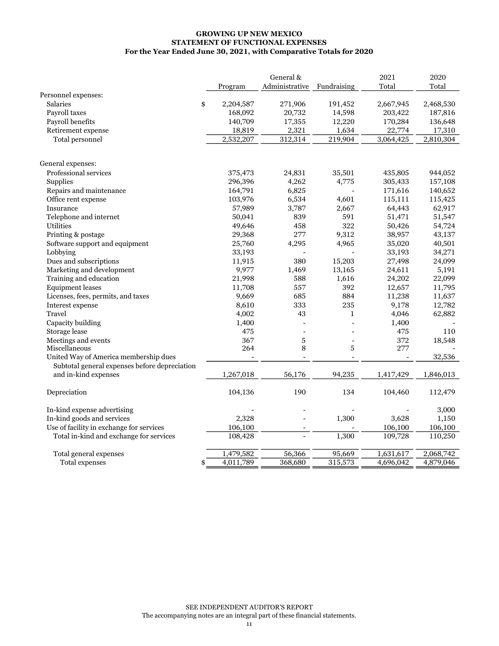#### For the Year Ended June 30, 2021, with Comparative Totals for 2020 STATEMENT OF FUNCTIONAL EXPENSES GROWING UP NEW MEXICO

|                                               |           | General &                  |         | 2021      | 2020      |
|-----------------------------------------------|-----------|----------------------------|---------|-----------|-----------|
|                                               | Program   | Administrative Fundraising |         | Total     | Total     |
| Personnel expenses:                           |           |                            |         |           |           |
| Salaries<br>\$                                | 2,204,587 | 271,906                    | 191,452 | 2,667,945 | 2,468,530 |
| Payroll taxes                                 | 168,092   | 20,732                     | 14,598  | 203,422   | 187,816   |
| Payroll benefits                              | 140,709   | 17,355                     | 12,220  | 170,284   | 136,648   |
| Retirement expense                            | 18,819    | 2,321                      | 1,634   | 22,774    | 17,310    |
| Total personnel                               | 2,532,207 | 312,314                    | 219,904 | 3,064,425 | 2,810,304 |
|                                               |           |                            |         |           |           |
| General expenses:                             |           |                            |         |           |           |
| Professional services                         | 375,473   | 24,831                     | 35,501  | 435,805   | 944,052   |
| Supplies                                      | 296,396   | 4,262                      | 4,775   | 305,433   | 157,108   |
| Repairs and maintenance                       | 164,791   | 6,825                      |         | 171,616   | 140,652   |
| Office rent expense                           | 103,976   | 6,534                      | 4,601   | 115,111   | 115,425   |
| Insurance                                     | 57,989    | 3,787                      | 2,667   | 64,443    | 62,917    |
| Telephone and internet                        | 50,041    | 839                        | 591     | 51,471    | 51,547    |
| <b>Utilities</b>                              | 49,646    | 458                        | 322     | 50,426    | 54,724    |
| Printing & postage                            | 29,368    | 277                        | 9,312   | 38,957    | 43,137    |
| Software support and equipment                | 25,760    | 4,295                      | 4,965   | 35,020    | 40,501    |
| Lobbying                                      | 33,193    |                            |         | 33,193    | 34,271    |
| Dues and subscriptions                        | 11,915    | 380                        | 15,203  | 27,498    | 24,099    |
| Marketing and development                     | 9,977     | 1,469                      | 13,165  | 24,611    | 5,191     |
| Training and education                        | 21,998    | 588                        | 1,616   | 24,202    | 22,099    |
| <b>Equipment</b> leases                       | 11,708    | 557                        | 392     | 12,657    | 11,795    |
| Licenses, fees, permits, and taxes            | 9,669     | 685                        | 884     | 11,238    | 11,637    |
| Interest expense                              | 8,610     | 333                        | 235     | 9,178     | 12,782    |
| Travel                                        | 4,002     | 43                         | 1       | 4,046     | 62,882    |
| Capacity building                             | 1,400     |                            |         | 1,400     |           |
| Storage lease                                 | 475       | $\overline{a}$             |         | 475       | 110       |
| Meetings and events                           | 367       | 5                          |         | 372       | 18,548    |
| Miscellaneous                                 | 264       | 8                          | 5       | 277       |           |
| United Way of America membership dues         |           |                            |         |           | 32,536    |
| Subtotal general expenses before depreciation |           |                            |         |           |           |
| and in-kind expenses                          | 1,267,018 | 56,176                     | 94,235  | 1,417,429 | 1,846,013 |
| Depreciation                                  | 104,136   | 190                        | 134     | 104,460   | 112,479   |
| In-kind expense advertising                   |           |                            |         |           | 3,000     |
| In-kind goods and services                    | 2,328     |                            | 1,300   | 3,628     | 1,150     |
| Use of facility in exchange for services      | 106,100   |                            |         | 106,100   | 106,100   |
| Total in-kind and exchange for services       | 108,428   |                            | 1,300   | 109,728   | 110,250   |
| Total general expenses                        | 1,479,582 | 56,366                     | 95,669  | 1,631,617 | 2,068,742 |
| Total expenses<br>\$                          | 4,011,789 | 368,680                    | 315,573 | 4,696,042 | 4,879,046 |
|                                               |           |                            |         |           |           |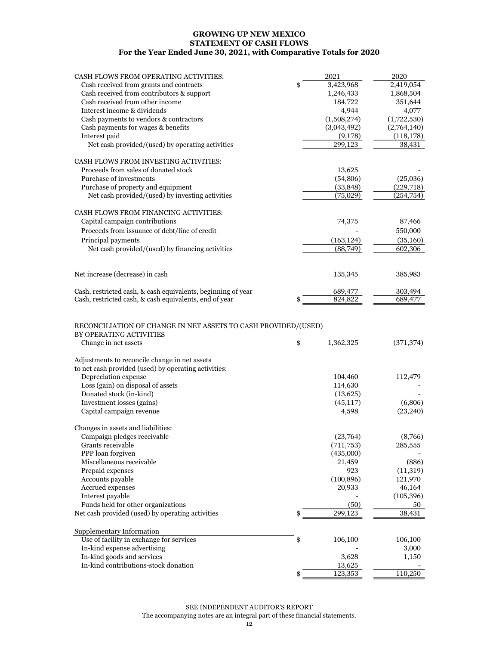#### GROWING UP NEW MEXICO STATEMENT OF CASH FLOWS For the Year Ended June 30, 2021, with Comparative Totals for 2020

| Cash received from grants and contracts<br>\$<br>3,423,968<br>2,419,054<br>Cash received from contributors & support<br>1,246,433<br>1,868,504<br>Cash received from other income<br>184,722<br>351,644<br>Interest income & dividends<br>4,944<br>4,077<br>Cash payments to vendors & contractors<br>(1,508,274)<br>(1,722,530)<br>(3,043,492)<br>Cash payments for wages & benefits<br>(2,764,140)<br>Interest paid<br>(9,178)<br>(118, 178)<br>299,123<br>Net cash provided/(used) by operating activities<br>38,431<br>CASH FLOWS FROM INVESTING ACTIVITIES:<br>Proceeds from sales of donated stock<br>13,625<br>Purchase of investments<br>(54, 806)<br>(25,036)<br>Purchase of property and equipment<br>(33, 848)<br>(229, 718)<br>Net cash provided/(used) by investing activities<br>(75,029)<br>(254, 754)<br>CASH FLOWS FROM FINANCING ACTIVITIES:<br>Capital campaign contributions<br>74,375<br>87,466<br>Proceeds from issuance of debt/line of credit<br>550,000<br>Principal payments<br>(163, 124)<br>(35, 160)<br>(88,749)<br>602,306<br>Net cash provided/(used) by financing activities<br>Net increase (decrease) in cash<br>135,345<br>385,983<br>Cash, restricted cash, & cash equivalents, beginning of year<br>689,477<br>303,494<br>824,822<br>Cash, restricted cash, & cash equivalents, end of year<br>689,477<br>RECONCILIATION OF CHANGE IN NET ASSETS TO CASH PROVIDED/(USED)<br>BY OPERATING ACTIVITIES<br>\$<br>Change in net assets<br>1,362,325<br>(371, 374)<br>Adjustments to reconcile change in net assets<br>to net cash provided (used) by operating activities:<br>Depreciation expense<br>104,460<br>112,479<br>Loss (gain) on disposal of assets<br>114,630<br>Donated stock (in-kind)<br>(13,625)<br>Investment losses (gains)<br>(45, 117)<br>(6,806)<br>(23, 240)<br>Capital campaign revenue<br>4,598<br>Changes in assets and liabilities:<br>Campaign pledges receivable<br>(23,764)<br>(8,766)<br>Grants receivable<br>(711, 753)<br>285,555<br>PPP loan forgiven<br>(435,000)<br>21.459<br>(886)<br>Miscellaneous receivable |                                       |      |      |
|-----------------------------------------------------------------------------------------------------------------------------------------------------------------------------------------------------------------------------------------------------------------------------------------------------------------------------------------------------------------------------------------------------------------------------------------------------------------------------------------------------------------------------------------------------------------------------------------------------------------------------------------------------------------------------------------------------------------------------------------------------------------------------------------------------------------------------------------------------------------------------------------------------------------------------------------------------------------------------------------------------------------------------------------------------------------------------------------------------------------------------------------------------------------------------------------------------------------------------------------------------------------------------------------------------------------------------------------------------------------------------------------------------------------------------------------------------------------------------------------------------------------------------------------------------------------------------------------------------------------------------------------------------------------------------------------------------------------------------------------------------------------------------------------------------------------------------------------------------------------------------------------------------------------------------------------------------------------------------------------------------------------------------------------------------------------------------------|---------------------------------------|------|------|
|                                                                                                                                                                                                                                                                                                                                                                                                                                                                                                                                                                                                                                                                                                                                                                                                                                                                                                                                                                                                                                                                                                                                                                                                                                                                                                                                                                                                                                                                                                                                                                                                                                                                                                                                                                                                                                                                                                                                                                                                                                                                                   | CASH FLOWS FROM OPERATING ACTIVITIES: | 2021 | 2020 |
|                                                                                                                                                                                                                                                                                                                                                                                                                                                                                                                                                                                                                                                                                                                                                                                                                                                                                                                                                                                                                                                                                                                                                                                                                                                                                                                                                                                                                                                                                                                                                                                                                                                                                                                                                                                                                                                                                                                                                                                                                                                                                   |                                       |      |      |
|                                                                                                                                                                                                                                                                                                                                                                                                                                                                                                                                                                                                                                                                                                                                                                                                                                                                                                                                                                                                                                                                                                                                                                                                                                                                                                                                                                                                                                                                                                                                                                                                                                                                                                                                                                                                                                                                                                                                                                                                                                                                                   |                                       |      |      |
|                                                                                                                                                                                                                                                                                                                                                                                                                                                                                                                                                                                                                                                                                                                                                                                                                                                                                                                                                                                                                                                                                                                                                                                                                                                                                                                                                                                                                                                                                                                                                                                                                                                                                                                                                                                                                                                                                                                                                                                                                                                                                   |                                       |      |      |
|                                                                                                                                                                                                                                                                                                                                                                                                                                                                                                                                                                                                                                                                                                                                                                                                                                                                                                                                                                                                                                                                                                                                                                                                                                                                                                                                                                                                                                                                                                                                                                                                                                                                                                                                                                                                                                                                                                                                                                                                                                                                                   |                                       |      |      |
|                                                                                                                                                                                                                                                                                                                                                                                                                                                                                                                                                                                                                                                                                                                                                                                                                                                                                                                                                                                                                                                                                                                                                                                                                                                                                                                                                                                                                                                                                                                                                                                                                                                                                                                                                                                                                                                                                                                                                                                                                                                                                   |                                       |      |      |
|                                                                                                                                                                                                                                                                                                                                                                                                                                                                                                                                                                                                                                                                                                                                                                                                                                                                                                                                                                                                                                                                                                                                                                                                                                                                                                                                                                                                                                                                                                                                                                                                                                                                                                                                                                                                                                                                                                                                                                                                                                                                                   |                                       |      |      |
|                                                                                                                                                                                                                                                                                                                                                                                                                                                                                                                                                                                                                                                                                                                                                                                                                                                                                                                                                                                                                                                                                                                                                                                                                                                                                                                                                                                                                                                                                                                                                                                                                                                                                                                                                                                                                                                                                                                                                                                                                                                                                   |                                       |      |      |
|                                                                                                                                                                                                                                                                                                                                                                                                                                                                                                                                                                                                                                                                                                                                                                                                                                                                                                                                                                                                                                                                                                                                                                                                                                                                                                                                                                                                                                                                                                                                                                                                                                                                                                                                                                                                                                                                                                                                                                                                                                                                                   |                                       |      |      |
|                                                                                                                                                                                                                                                                                                                                                                                                                                                                                                                                                                                                                                                                                                                                                                                                                                                                                                                                                                                                                                                                                                                                                                                                                                                                                                                                                                                                                                                                                                                                                                                                                                                                                                                                                                                                                                                                                                                                                                                                                                                                                   |                                       |      |      |
|                                                                                                                                                                                                                                                                                                                                                                                                                                                                                                                                                                                                                                                                                                                                                                                                                                                                                                                                                                                                                                                                                                                                                                                                                                                                                                                                                                                                                                                                                                                                                                                                                                                                                                                                                                                                                                                                                                                                                                                                                                                                                   |                                       |      |      |
|                                                                                                                                                                                                                                                                                                                                                                                                                                                                                                                                                                                                                                                                                                                                                                                                                                                                                                                                                                                                                                                                                                                                                                                                                                                                                                                                                                                                                                                                                                                                                                                                                                                                                                                                                                                                                                                                                                                                                                                                                                                                                   |                                       |      |      |
|                                                                                                                                                                                                                                                                                                                                                                                                                                                                                                                                                                                                                                                                                                                                                                                                                                                                                                                                                                                                                                                                                                                                                                                                                                                                                                                                                                                                                                                                                                                                                                                                                                                                                                                                                                                                                                                                                                                                                                                                                                                                                   |                                       |      |      |
|                                                                                                                                                                                                                                                                                                                                                                                                                                                                                                                                                                                                                                                                                                                                                                                                                                                                                                                                                                                                                                                                                                                                                                                                                                                                                                                                                                                                                                                                                                                                                                                                                                                                                                                                                                                                                                                                                                                                                                                                                                                                                   |                                       |      |      |
|                                                                                                                                                                                                                                                                                                                                                                                                                                                                                                                                                                                                                                                                                                                                                                                                                                                                                                                                                                                                                                                                                                                                                                                                                                                                                                                                                                                                                                                                                                                                                                                                                                                                                                                                                                                                                                                                                                                                                                                                                                                                                   |                                       |      |      |
|                                                                                                                                                                                                                                                                                                                                                                                                                                                                                                                                                                                                                                                                                                                                                                                                                                                                                                                                                                                                                                                                                                                                                                                                                                                                                                                                                                                                                                                                                                                                                                                                                                                                                                                                                                                                                                                                                                                                                                                                                                                                                   |                                       |      |      |
|                                                                                                                                                                                                                                                                                                                                                                                                                                                                                                                                                                                                                                                                                                                                                                                                                                                                                                                                                                                                                                                                                                                                                                                                                                                                                                                                                                                                                                                                                                                                                                                                                                                                                                                                                                                                                                                                                                                                                                                                                                                                                   |                                       |      |      |
|                                                                                                                                                                                                                                                                                                                                                                                                                                                                                                                                                                                                                                                                                                                                                                                                                                                                                                                                                                                                                                                                                                                                                                                                                                                                                                                                                                                                                                                                                                                                                                                                                                                                                                                                                                                                                                                                                                                                                                                                                                                                                   |                                       |      |      |
|                                                                                                                                                                                                                                                                                                                                                                                                                                                                                                                                                                                                                                                                                                                                                                                                                                                                                                                                                                                                                                                                                                                                                                                                                                                                                                                                                                                                                                                                                                                                                                                                                                                                                                                                                                                                                                                                                                                                                                                                                                                                                   |                                       |      |      |
|                                                                                                                                                                                                                                                                                                                                                                                                                                                                                                                                                                                                                                                                                                                                                                                                                                                                                                                                                                                                                                                                                                                                                                                                                                                                                                                                                                                                                                                                                                                                                                                                                                                                                                                                                                                                                                                                                                                                                                                                                                                                                   |                                       |      |      |
|                                                                                                                                                                                                                                                                                                                                                                                                                                                                                                                                                                                                                                                                                                                                                                                                                                                                                                                                                                                                                                                                                                                                                                                                                                                                                                                                                                                                                                                                                                                                                                                                                                                                                                                                                                                                                                                                                                                                                                                                                                                                                   |                                       |      |      |
|                                                                                                                                                                                                                                                                                                                                                                                                                                                                                                                                                                                                                                                                                                                                                                                                                                                                                                                                                                                                                                                                                                                                                                                                                                                                                                                                                                                                                                                                                                                                                                                                                                                                                                                                                                                                                                                                                                                                                                                                                                                                                   |                                       |      |      |
|                                                                                                                                                                                                                                                                                                                                                                                                                                                                                                                                                                                                                                                                                                                                                                                                                                                                                                                                                                                                                                                                                                                                                                                                                                                                                                                                                                                                                                                                                                                                                                                                                                                                                                                                                                                                                                                                                                                                                                                                                                                                                   |                                       |      |      |
|                                                                                                                                                                                                                                                                                                                                                                                                                                                                                                                                                                                                                                                                                                                                                                                                                                                                                                                                                                                                                                                                                                                                                                                                                                                                                                                                                                                                                                                                                                                                                                                                                                                                                                                                                                                                                                                                                                                                                                                                                                                                                   |                                       |      |      |
|                                                                                                                                                                                                                                                                                                                                                                                                                                                                                                                                                                                                                                                                                                                                                                                                                                                                                                                                                                                                                                                                                                                                                                                                                                                                                                                                                                                                                                                                                                                                                                                                                                                                                                                                                                                                                                                                                                                                                                                                                                                                                   |                                       |      |      |
|                                                                                                                                                                                                                                                                                                                                                                                                                                                                                                                                                                                                                                                                                                                                                                                                                                                                                                                                                                                                                                                                                                                                                                                                                                                                                                                                                                                                                                                                                                                                                                                                                                                                                                                                                                                                                                                                                                                                                                                                                                                                                   |                                       |      |      |
|                                                                                                                                                                                                                                                                                                                                                                                                                                                                                                                                                                                                                                                                                                                                                                                                                                                                                                                                                                                                                                                                                                                                                                                                                                                                                                                                                                                                                                                                                                                                                                                                                                                                                                                                                                                                                                                                                                                                                                                                                                                                                   |                                       |      |      |
|                                                                                                                                                                                                                                                                                                                                                                                                                                                                                                                                                                                                                                                                                                                                                                                                                                                                                                                                                                                                                                                                                                                                                                                                                                                                                                                                                                                                                                                                                                                                                                                                                                                                                                                                                                                                                                                                                                                                                                                                                                                                                   |                                       |      |      |
|                                                                                                                                                                                                                                                                                                                                                                                                                                                                                                                                                                                                                                                                                                                                                                                                                                                                                                                                                                                                                                                                                                                                                                                                                                                                                                                                                                                                                                                                                                                                                                                                                                                                                                                                                                                                                                                                                                                                                                                                                                                                                   |                                       |      |      |
|                                                                                                                                                                                                                                                                                                                                                                                                                                                                                                                                                                                                                                                                                                                                                                                                                                                                                                                                                                                                                                                                                                                                                                                                                                                                                                                                                                                                                                                                                                                                                                                                                                                                                                                                                                                                                                                                                                                                                                                                                                                                                   |                                       |      |      |
|                                                                                                                                                                                                                                                                                                                                                                                                                                                                                                                                                                                                                                                                                                                                                                                                                                                                                                                                                                                                                                                                                                                                                                                                                                                                                                                                                                                                                                                                                                                                                                                                                                                                                                                                                                                                                                                                                                                                                                                                                                                                                   |                                       |      |      |
|                                                                                                                                                                                                                                                                                                                                                                                                                                                                                                                                                                                                                                                                                                                                                                                                                                                                                                                                                                                                                                                                                                                                                                                                                                                                                                                                                                                                                                                                                                                                                                                                                                                                                                                                                                                                                                                                                                                                                                                                                                                                                   |                                       |      |      |
|                                                                                                                                                                                                                                                                                                                                                                                                                                                                                                                                                                                                                                                                                                                                                                                                                                                                                                                                                                                                                                                                                                                                                                                                                                                                                                                                                                                                                                                                                                                                                                                                                                                                                                                                                                                                                                                                                                                                                                                                                                                                                   |                                       |      |      |
|                                                                                                                                                                                                                                                                                                                                                                                                                                                                                                                                                                                                                                                                                                                                                                                                                                                                                                                                                                                                                                                                                                                                                                                                                                                                                                                                                                                                                                                                                                                                                                                                                                                                                                                                                                                                                                                                                                                                                                                                                                                                                   |                                       |      |      |
|                                                                                                                                                                                                                                                                                                                                                                                                                                                                                                                                                                                                                                                                                                                                                                                                                                                                                                                                                                                                                                                                                                                                                                                                                                                                                                                                                                                                                                                                                                                                                                                                                                                                                                                                                                                                                                                                                                                                                                                                                                                                                   |                                       |      |      |
|                                                                                                                                                                                                                                                                                                                                                                                                                                                                                                                                                                                                                                                                                                                                                                                                                                                                                                                                                                                                                                                                                                                                                                                                                                                                                                                                                                                                                                                                                                                                                                                                                                                                                                                                                                                                                                                                                                                                                                                                                                                                                   |                                       |      |      |
|                                                                                                                                                                                                                                                                                                                                                                                                                                                                                                                                                                                                                                                                                                                                                                                                                                                                                                                                                                                                                                                                                                                                                                                                                                                                                                                                                                                                                                                                                                                                                                                                                                                                                                                                                                                                                                                                                                                                                                                                                                                                                   |                                       |      |      |
|                                                                                                                                                                                                                                                                                                                                                                                                                                                                                                                                                                                                                                                                                                                                                                                                                                                                                                                                                                                                                                                                                                                                                                                                                                                                                                                                                                                                                                                                                                                                                                                                                                                                                                                                                                                                                                                                                                                                                                                                                                                                                   |                                       |      |      |
|                                                                                                                                                                                                                                                                                                                                                                                                                                                                                                                                                                                                                                                                                                                                                                                                                                                                                                                                                                                                                                                                                                                                                                                                                                                                                                                                                                                                                                                                                                                                                                                                                                                                                                                                                                                                                                                                                                                                                                                                                                                                                   |                                       |      |      |
|                                                                                                                                                                                                                                                                                                                                                                                                                                                                                                                                                                                                                                                                                                                                                                                                                                                                                                                                                                                                                                                                                                                                                                                                                                                                                                                                                                                                                                                                                                                                                                                                                                                                                                                                                                                                                                                                                                                                                                                                                                                                                   |                                       |      |      |
|                                                                                                                                                                                                                                                                                                                                                                                                                                                                                                                                                                                                                                                                                                                                                                                                                                                                                                                                                                                                                                                                                                                                                                                                                                                                                                                                                                                                                                                                                                                                                                                                                                                                                                                                                                                                                                                                                                                                                                                                                                                                                   |                                       |      |      |

| Miscellaneous receivable                         | 21.459        | (886)      |
|--------------------------------------------------|---------------|------------|
| Prepaid expenses                                 | 923           | (11,319)   |
| Accounts payable                                 | (100, 896)    | 121,970    |
| Accrued expenses                                 | 20,933        | 46,164     |
| Interest payable                                 |               | (105, 396) |
| Funds held for other organizations               | (50)          | 50         |
| Net cash provided (used) by operating activities | \$<br>299,123 | 38,431     |
|                                                  |               |            |
| Supplementary Information                        |               |            |
| Use of facility in exchange for services         | \$<br>106,100 | 106,100    |
| In-kind expense advertising                      |               | 3,000      |
| In-kind goods and services                       | 3,628         | 1,150      |
| In-kind contributions-stock donation             | 13,625        |            |
|                                                  | \$<br>123.353 | 110.250    |

#### SEE INDEPENDENT AUDITOR'S REPORT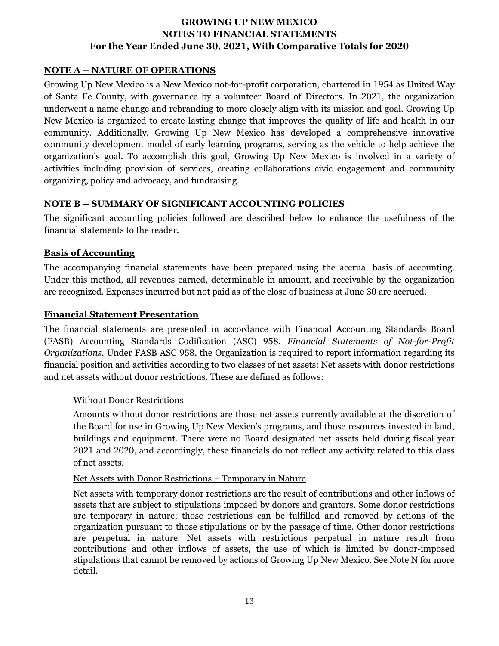#### **NOTE A – NATURE OF OPERATIONS**

Growing Up New Mexico is a New Mexico not-for-profit corporation, chartered in 1954 as United Way of Santa Fe County, with governance by a volunteer Board of Directors. In 2021, the organization underwent a name change and rebranding to more closely align with its mission and goal. Growing Up New Mexico is organized to create lasting change that improves the quality of life and health in our community. Additionally, Growing Up New Mexico has developed a comprehensive innovative community development model of early learning programs, serving as the vehicle to help achieve the organization's goal. To accomplish this goal, Growing Up New Mexico is involved in a variety of activities including provision of services, creating collaborations civic engagement and community organizing, policy and advocacy, and fundraising.

#### **NOTE B – SUMMARY OF SIGNIFICANT ACCOUNTING POLICIES**

The significant accounting policies followed are described below to enhance the usefulness of the financial statements to the reader.

#### **Basis of Accounting**

The accompanying financial statements have been prepared using the accrual basis of accounting. Under this method, all revenues earned, determinable in amount, and receivable by the organization are recognized. Expenses incurred but not paid as of the close of business at June 30 are accrued.

#### **Financial Statement Presentation**

The financial statements are presented in accordance with Financial Accounting Standards Board (FASB) Accounting Standards Codification (ASC) 958, *Financial Statements of Not-for-Profit Organizations*. Under FASB ASC 958, the Organization is required to report information regarding its financial position and activities according to two classes of net assets: Net assets with donor restrictions and net assets without donor restrictions. These are defined as follows:

#### Without Donor Restrictions

Amounts without donor restrictions are those net assets currently available at the discretion of the Board for use in Growing Up New Mexico's programs, and those resources invested in land, buildings and equipment. There were no Board designated net assets held during fiscal year 2021 and 2020, and accordingly, these financials do not reflect any activity related to this class of net assets.

#### Net Assets with Donor Restrictions – Temporary in Nature

Net assets with temporary donor restrictions are the result of contributions and other inflows of assets that are subject to stipulations imposed by donors and grantors. Some donor restrictions are temporary in nature; those restrictions can be fulfilled and removed by actions of the organization pursuant to those stipulations or by the passage of time. Other donor restrictions are perpetual in nature. Net assets with restrictions perpetual in nature result from contributions and other inflows of assets, the use of which is limited by donor-imposed stipulations that cannot be removed by actions of Growing Up New Mexico. See Note N for more detail.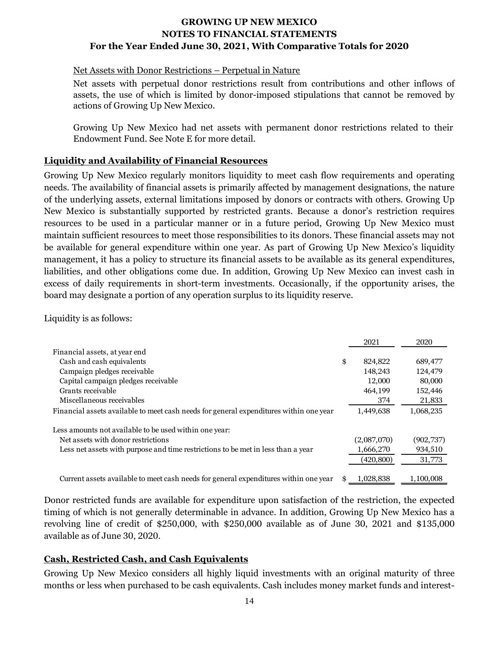#### Net Assets with Donor Restrictions – Perpetual in Nature

Net assets with perpetual donor restrictions result from contributions and other inflows of assets, the use of which is limited by donor-imposed stipulations that cannot be removed by actions of Growing Up New Mexico.

Growing Up New Mexico had net assets with permanent donor restrictions related to their Endowment Fund. See Note E for more detail.

#### **Liquidity and Availability of Financial Resources**

Growing Up New Mexico regularly monitors liquidity to meet cash flow requirements and operating needs. The availability of financial assets is primarily affected by management designations, the nature of the underlying assets, external limitations imposed by donors or contracts with others. Growing Up New Mexico is substantially supported by restricted grants. Because a donor's restriction requires resources to be used in a particular manner or in a future period, Growing Up New Mexico must maintain sufficient resources to meet those responsibilities to its donors. These financial assets may not be available for general expenditure within one year. As part of Growing Up New Mexico's liquidity management, it has a policy to structure its financial assets to be available as its general expenditures, liabilities, and other obligations come due. In addition, Growing Up New Mexico can invest cash in excess of daily requirements in short-term investments. Occasionally, if the opportunity arises, the board may designate a portion of any operation surplus to its liquidity reserve.

Liquidity is as follows:

|                                                                                        | 2021          | 2020       |
|----------------------------------------------------------------------------------------|---------------|------------|
| Financial assets, at year end                                                          |               |            |
| Cash and cash equivalents                                                              | \$<br>824,822 | 689,477    |
| Campaign pledges receivable                                                            | 148.243       | 124,479    |
| Capital campaign pledges receivable                                                    | 12,000        | 80,000     |
| Grants receivable                                                                      | 464.199       | 152,446    |
| Miscellaneous receivables                                                              | 374           | 21,833     |
| Financial assets available to meet cash needs for general expenditures within one year | 1,449,638     | 1,068,235  |
| Less amounts not available to be used within one year:                                 |               |            |
| Net assets with donor restrictions                                                     | (2,087,070)   | (902, 737) |
| Less net assets with purpose and time restrictions to be met in less than a year       | 1,666,270     | 934,510    |
|                                                                                        | (420, 800)    | 31,773     |
| Current assets available to meet cash needs for general expenditures within one year   | 1.028.838     | 1.100.008  |

Donor restricted funds are available for expenditure upon satisfaction of the restriction, the expected timing of which is not generally determinable in advance. In addition, Growing Up New Mexico has a revolving line of credit of \$250,000, with \$250,000 available as of June 30, 2021 and \$135,000 available as of June 30, 2020.

#### **Cash, Restricted Cash, and Cash Equivalents**

Growing Up New Mexico considers all highly liquid investments with an original maturity of three months or less when purchased to be cash equivalents. Cash includes money market funds and interest-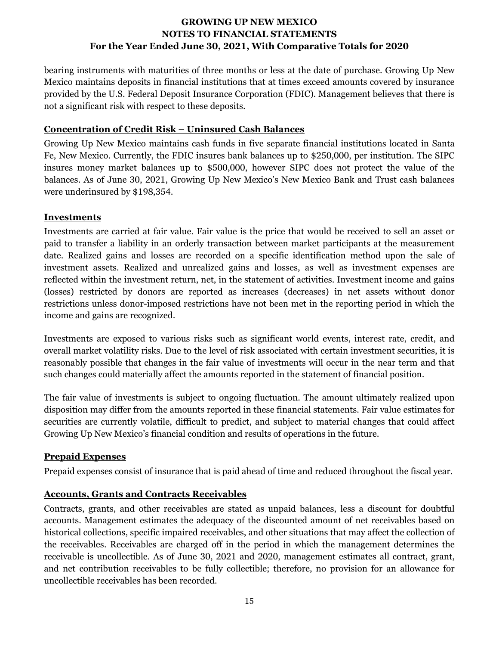bearing instruments with maturities of three months or less at the date of purchase. Growing Up New Mexico maintains deposits in financial institutions that at times exceed amounts covered by insurance provided by the U.S. Federal Deposit Insurance Corporation (FDIC). Management believes that there is not a significant risk with respect to these deposits.

#### **Concentration of Credit Risk – Uninsured Cash Balances**

Growing Up New Mexico maintains cash funds in five separate financial institutions located in Santa Fe, New Mexico. Currently, the FDIC insures bank balances up to \$250,000, per institution. The SIPC insures money market balances up to \$500,000, however SIPC does not protect the value of the balances. As of June 30, 2021, Growing Up New Mexico's New Mexico Bank and Trust cash balances were underinsured by \$198,354.

#### **Investments**

Investments are carried at fair value. Fair value is the price that would be received to sell an asset or paid to transfer a liability in an orderly transaction between market participants at the measurement date. Realized gains and losses are recorded on a specific identification method upon the sale of investment assets. Realized and unrealized gains and losses, as well as investment expenses are reflected within the investment return, net, in the statement of activities. Investment income and gains (losses) restricted by donors are reported as increases (decreases) in net assets without donor restrictions unless donor-imposed restrictions have not been met in the reporting period in which the income and gains are recognized.

Investments are exposed to various risks such as significant world events, interest rate, credit, and overall market volatility risks. Due to the level of risk associated with certain investment securities, it is reasonably possible that changes in the fair value of investments will occur in the near term and that such changes could materially affect the amounts reported in the statement of financial position.

The fair value of investments is subject to ongoing fluctuation. The amount ultimately realized upon disposition may differ from the amounts reported in these financial statements. Fair value estimates for securities are currently volatile, difficult to predict, and subject to material changes that could affect Growing Up New Mexico's financial condition and results of operations in the future.

# **Prepaid Expenses**

Prepaid expenses consist of insurance that is paid ahead of time and reduced throughout the fiscal year.

# **Accounts, Grants and Contracts Receivables**

Contracts, grants, and other receivables are stated as unpaid balances, less a discount for doubtful accounts. Management estimates the adequacy of the discounted amount of net receivables based on historical collections, specific impaired receivables, and other situations that may affect the collection of the receivables. Receivables are charged off in the period in which the management determines the receivable is uncollectible. As of June 30, 2021 and 2020, management estimates all contract, grant, and net contribution receivables to be fully collectible; therefore, no provision for an allowance for uncollectible receivables has been recorded.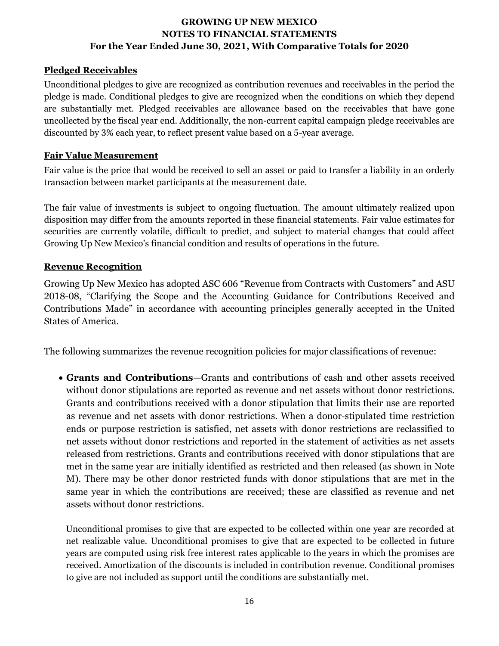# **Pledged Receivables**

Unconditional pledges to give are recognized as contribution revenues and receivables in the period the pledge is made. Conditional pledges to give are recognized when the conditions on which they depend are substantially met. Pledged receivables are allowance based on the receivables that have gone uncollected by the fiscal year end. Additionally, the non-current capital campaign pledge receivables are discounted by 3% each year, to reflect present value based on a 5-year average.

# **Fair Value Measurement**

Fair value is the price that would be received to sell an asset or paid to transfer a liability in an orderly transaction between market participants at the measurement date.

The fair value of investments is subject to ongoing fluctuation. The amount ultimately realized upon disposition may differ from the amounts reported in these financial statements. Fair value estimates for securities are currently volatile, difficult to predict, and subject to material changes that could affect Growing Up New Mexico's financial condition and results of operations in the future.

# **Revenue Recognition**

Growing Up New Mexico has adopted ASC 606 "Revenue from Contracts with Customers" and ASU 2018-08, "Clarifying the Scope and the Accounting Guidance for Contributions Received and Contributions Made" in accordance with accounting principles generally accepted in the United States of America.

The following summarizes the revenue recognition policies for major classifications of revenue:

• **Grants and Contributions**—Grants and contributions of cash and other assets received without donor stipulations are reported as revenue and net assets without donor restrictions. Grants and contributions received with a donor stipulation that limits their use are reported as revenue and net assets with donor restrictions. When a donor‐stipulated time restriction ends or purpose restriction is satisfied, net assets with donor restrictions are reclassified to net assets without donor restrictions and reported in the statement of activities as net assets released from restrictions. Grants and contributions received with donor stipulations that are met in the same year are initially identified as restricted and then released (as shown in Note M). There may be other donor restricted funds with donor stipulations that are met in the same year in which the contributions are received; these are classified as revenue and net assets without donor restrictions.

Unconditional promises to give that are expected to be collected within one year are recorded at net realizable value. Unconditional promises to give that are expected to be collected in future years are computed using risk free interest rates applicable to the years in which the promises are received. Amortization of the discounts is included in contribution revenue. Conditional promises to give are not included as support until the conditions are substantially met.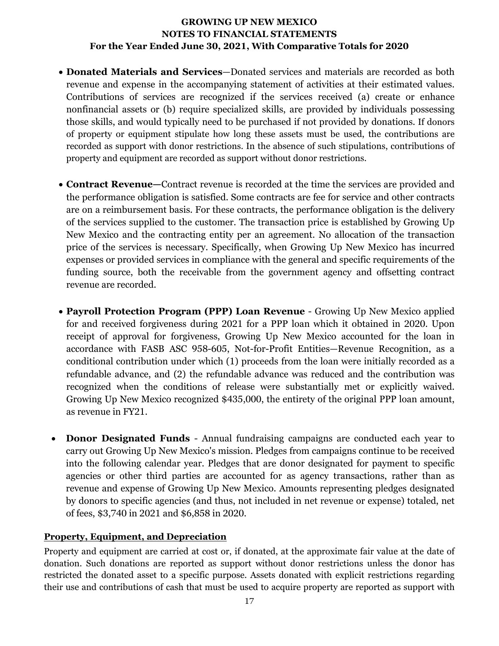- **Donated Materials and Services**—Donated services and materials are recorded as both revenue and expense in the accompanying statement of activities at their estimated values. Contributions of services are recognized if the services received (a) create or enhance nonfinancial assets or (b) require specialized skills, are provided by individuals possessing those skills, and would typically need to be purchased if not provided by donations. If donors of property or equipment stipulate how long these assets must be used, the contributions are recorded as support with donor restrictions. In the absence of such stipulations, contributions of property and equipment are recorded as support without donor restrictions.
- **Contract Revenue—**Contract revenue is recorded at the time the services are provided and the performance obligation is satisfied. Some contracts are fee for service and other contracts are on a reimbursement basis. For these contracts, the performance obligation is the delivery of the services supplied to the customer. The transaction price is established by Growing Up New Mexico and the contracting entity per an agreement. No allocation of the transaction price of the services is necessary. Specifically, when Growing Up New Mexico has incurred expenses or provided services in compliance with the general and specific requirements of the funding source, both the receivable from the government agency and offsetting contract revenue are recorded.
- **Payroll Protection Program (PPP) Loan Revenue** Growing Up New Mexico applied for and received forgiveness during 2021 for a PPP loan which it obtained in 2020. Upon receipt of approval for forgiveness, Growing Up New Mexico accounted for the loan in accordance with FASB ASC 958-605, Not-for-Profit Entities—Revenue Recognition, as a conditional contribution under which (1) proceeds from the loan were initially recorded as a refundable advance, and (2) the refundable advance was reduced and the contribution was recognized when the conditions of release were substantially met or explicitly waived. Growing Up New Mexico recognized \$435,000, the entirety of the original PPP loan amount, as revenue in FY21.
- **Donor Designated Funds**  Annual fundraising campaigns are conducted each year to carry out Growing Up New Mexico's mission. Pledges from campaigns continue to be received into the following calendar year. Pledges that are donor designated for payment to specific agencies or other third parties are accounted for as agency transactions, rather than as revenue and expense of Growing Up New Mexico. Amounts representing pledges designated by donors to specific agencies (and thus, not included in net revenue or expense) totaled, net of fees, \$3,740 in 2021 and \$6,858 in 2020.

# **Property, Equipment, and Depreciation**

Property and equipment are carried at cost or, if donated, at the approximate fair value at the date of donation. Such donations are reported as support without donor restrictions unless the donor has restricted the donated asset to a specific purpose. Assets donated with explicit restrictions regarding their use and contributions of cash that must be used to acquire property are reported as support with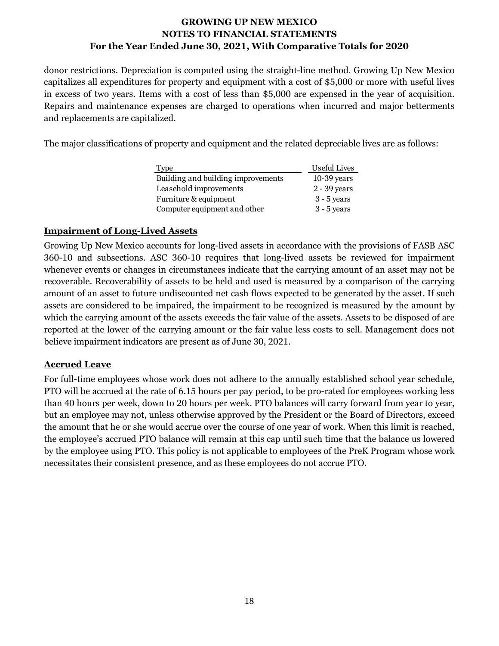donor restrictions. Depreciation is computed using the straight-line method. Growing Up New Mexico capitalizes all expenditures for property and equipment with a cost of \$5,000 or more with useful lives in excess of two years. Items with a cost of less than \$5,000 are expensed in the year of acquisition. Repairs and maintenance expenses are charged to operations when incurred and major betterments and replacements are capitalized.

The major classifications of property and equipment and the related depreciable lives are as follows:

| Type                               | <b>Useful Lives</b> |
|------------------------------------|---------------------|
| Building and building improvements | $10-39$ years       |
| Leasehold improvements             | $2 - 39$ years      |
| Furniture & equipment              | $3 - 5$ years       |
| Computer equipment and other       | $3 - 5$ years       |

#### **Impairment of Long-Lived Assets**

Growing Up New Mexico accounts for long-lived assets in accordance with the provisions of FASB ASC 360-10 and subsections. ASC 360-10 requires that long-lived assets be reviewed for impairment whenever events or changes in circumstances indicate that the carrying amount of an asset may not be recoverable. Recoverability of assets to be held and used is measured by a comparison of the carrying amount of an asset to future undiscounted net cash flows expected to be generated by the asset. If such assets are considered to be impaired, the impairment to be recognized is measured by the amount by which the carrying amount of the assets exceeds the fair value of the assets. Assets to be disposed of are reported at the lower of the carrying amount or the fair value less costs to sell. Management does not believe impairment indicators are present as of June 30, 2021.

#### **Accrued Leave**

For full-time employees whose work does not adhere to the annually established school year schedule, PTO will be accrued at the rate of 6.15 hours per pay period, to be pro-rated for employees working less than 40 hours per week, down to 20 hours per week. PTO balances will carry forward from year to year, but an employee may not, unless otherwise approved by the President or the Board of Directors, exceed the amount that he or she would accrue over the course of one year of work. When this limit is reached, the employee's accrued PTO balance will remain at this cap until such time that the balance us lowered by the employee using PTO. This policy is not applicable to employees of the PreK Program whose work necessitates their consistent presence, and as these employees do not accrue PTO.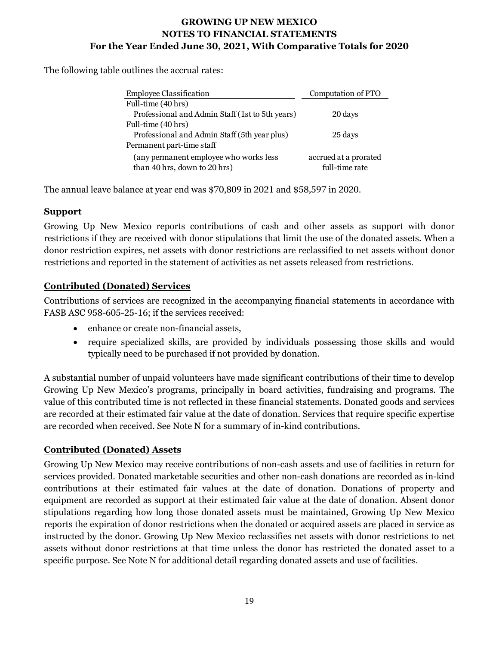The following table outlines the accrual rates:

| <b>Employee Classification</b>                                         | Computation of PTO                      |
|------------------------------------------------------------------------|-----------------------------------------|
| Full-time (40 hrs)                                                     |                                         |
| Professional and Admin Staff (1st to 5th years)                        | 20 days                                 |
| Full-time (40 hrs)                                                     |                                         |
| Professional and Admin Staff (5th year plus)                           | 25 days                                 |
| Permanent part-time staff                                              |                                         |
| (any permanent employee who works less<br>than 40 hrs, down to 20 hrs) | accrued at a prorated<br>full-time rate |

The annual leave balance at year end was \$70,809 in 2021 and \$58,597 in 2020.

#### **Support**

Growing Up New Mexico reports contributions of cash and other assets as support with donor restrictions if they are received with donor stipulations that limit the use of the donated assets. When a donor restriction expires, net assets with donor restrictions are reclassified to net assets without donor restrictions and reported in the statement of activities as net assets released from restrictions.

# **Contributed (Donated) Services**

Contributions of services are recognized in the accompanying financial statements in accordance with FASB ASC 958-605-25-16; if the services received:

- enhance or create non-financial assets,
- require specialized skills, are provided by individuals possessing those skills and would typically need to be purchased if not provided by donation.

A substantial number of unpaid volunteers have made significant contributions of their time to develop Growing Up New Mexico's programs, principally in board activities, fundraising and programs. The value of this contributed time is not reflected in these financial statements. Donated goods and services are recorded at their estimated fair value at the date of donation. Services that require specific expertise are recorded when received. See Note N for a summary of in-kind contributions.

#### **Contributed (Donated) Assets**

Growing Up New Mexico may receive contributions of non-cash assets and use of facilities in return for services provided. Donated marketable securities and other non-cash donations are recorded as in-kind contributions at their estimated fair values at the date of donation. Donations of property and equipment are recorded as support at their estimated fair value at the date of donation. Absent donor stipulations regarding how long those donated assets must be maintained, Growing Up New Mexico reports the expiration of donor restrictions when the donated or acquired assets are placed in service as instructed by the donor. Growing Up New Mexico reclassifies net assets with donor restrictions to net assets without donor restrictions at that time unless the donor has restricted the donated asset to a specific purpose. See Note N for additional detail regarding donated assets and use of facilities.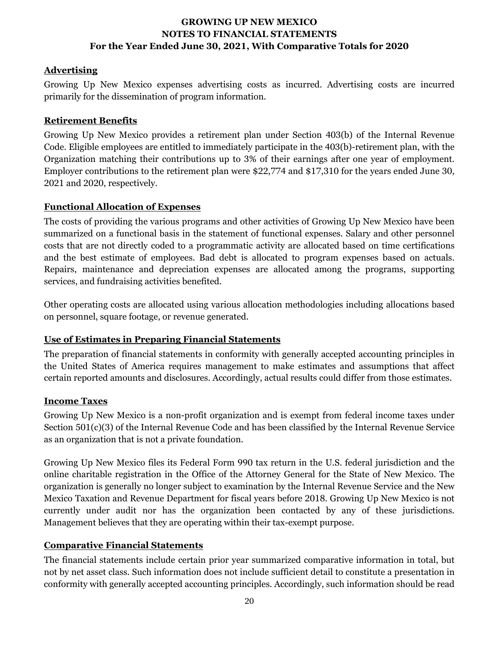# **Advertising**

Growing Up New Mexico expenses advertising costs as incurred. Advertising costs are incurred primarily for the dissemination of program information.

# **Retirement Benefits**

Growing Up New Mexico provides a retirement plan under Section 403(b) of the Internal Revenue Code. Eligible employees are entitled to immediately participate in the 403(b)-retirement plan, with the Organization matching their contributions up to 3% of their earnings after one year of employment. Employer contributions to the retirement plan were \$22,774 and \$17,310 for the years ended June 30, 2021 and 2020, respectively.

# **Functional Allocation of Expenses**

The costs of providing the various programs and other activities of Growing Up New Mexico have been summarized on a functional basis in the statement of functional expenses. Salary and other personnel costs that are not directly coded to a programmatic activity are allocated based on time certifications and the best estimate of employees. Bad debt is allocated to program expenses based on actuals. Repairs, maintenance and depreciation expenses are allocated among the programs, supporting services, and fundraising activities benefited.

Other operating costs are allocated using various allocation methodologies including allocations based on personnel, square footage, or revenue generated.

# **Use of Estimates in Preparing Financial Statements**

The preparation of financial statements in conformity with generally accepted accounting principles in the United States of America requires management to make estimates and assumptions that affect certain reported amounts and disclosures. Accordingly, actual results could differ from those estimates.

# **Income Taxes**

Growing Up New Mexico is a non-profit organization and is exempt from federal income taxes under Section 501(c)(3) of the Internal Revenue Code and has been classified by the Internal Revenue Service as an organization that is not a private foundation.

Growing Up New Mexico files its Federal Form 990 tax return in the U.S. federal jurisdiction and the online charitable registration in the Office of the Attorney General for the State of New Mexico. The organization is generally no longer subject to examination by the Internal Revenue Service and the New Mexico Taxation and Revenue Department for fiscal years before 2018. Growing Up New Mexico is not currently under audit nor has the organization been contacted by any of these jurisdictions. Management believes that they are operating within their tax-exempt purpose.

# **Comparative Financial Statements**

The financial statements include certain prior year summarized comparative information in total, but not by net asset class. Such information does not include sufficient detail to constitute a presentation in conformity with generally accepted accounting principles. Accordingly, such information should be read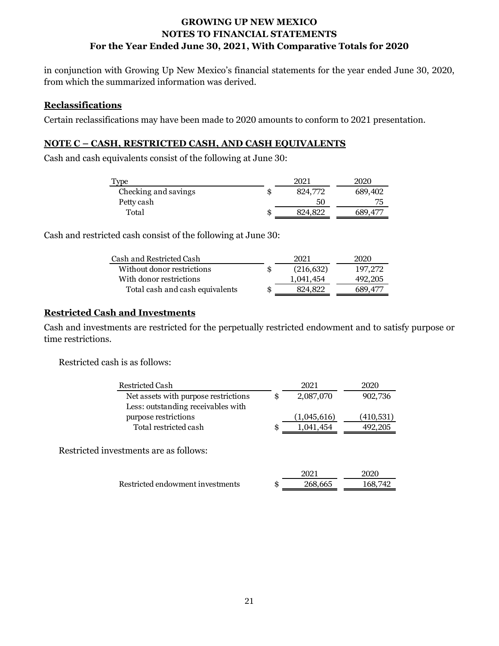in conjunction with Growing Up New Mexico's financial statements for the year ended June 30, 2020, from which the summarized information was derived.

#### **Reclassifications**

Certain reclassifications may have been made to 2020 amounts to conform to 2021 presentation.

### **NOTE C – CASH, RESTRICTED CASH, AND CASH EQUIVALENTS**

Cash and cash equivalents consist of the following at June 30:

|    | 2021    | 2020    |
|----|---------|---------|
|    | 824,772 | 689,402 |
|    | 50      |         |
| ŧВ | 824,822 |         |
|    |         |         |

Cash and restricted cash consist of the following at June 30:

| 2021          | 2020    |
|---------------|---------|
| (216, 632)    | 197.272 |
| 1,041,454     | 492,205 |
| \$<br>824.822 | 689.477 |
|               |         |

#### **Restricted Cash and Investments**

Cash and investments are restricted for the perpetually restricted endowment and to satisfy purpose or time restrictions.

Restricted cash is as follows:

| <b>Restricted Cash</b>                 | 2021            | 2020       |
|----------------------------------------|-----------------|------------|
| Net assets with purpose restrictions   | \$<br>2,087,070 | 902,736    |
| Less: outstanding receivables with     |                 |            |
| purpose restrictions                   | (1,045,616)     | (410, 531) |
| Total restricted cash                  | \$<br>1,041,454 | 492,205    |
| Restricted investments are as follows: |                 |            |
|                                        | 2021            | 2020       |
| Restricted endowment investments       | \$<br>268,665   | 168,742    |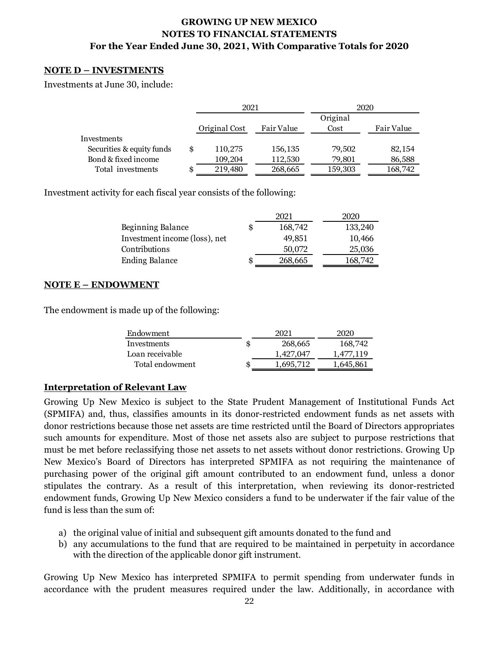#### **NOTE D – INVESTMENTS**

Investments at June 30, include:

|                           |    | 2021          |            | 2020     |            |  |
|---------------------------|----|---------------|------------|----------|------------|--|
|                           |    |               |            | Original |            |  |
|                           |    | Original Cost | Fair Value | Cost     | Fair Value |  |
| Investments               |    |               |            |          |            |  |
| Securities & equity funds | \$ | 110,275       | 156,135    | 79,502   | 82,154     |  |
| Bond & fixed income       |    | 109,204       | 112,530    | 79,801   | 86,588     |  |
| Total investments         | Ð  | 219,480       | 268,665    | 159,303  | 168,742    |  |

Investment activity for each fiscal year consists of the following:

|                               |   | 2021    | 2020    |
|-------------------------------|---|---------|---------|
| Beginning Balance             | S | 168,742 | 133,240 |
| Investment income (loss), net |   | 49.851  | 10,466  |
| Contributions                 |   | 50,072  | 25,036  |
| <b>Ending Balance</b>         | S | 268,665 | 168,742 |

#### **NOTE E – ENDOWMENT**

The endowment is made up of the following:

| Endowment       | 2021      | 2020      |
|-----------------|-----------|-----------|
| Investments     | 268,665   | 168,742   |
| Loan receivable | 1.427.047 | 1,477,119 |
| Total endowment | 1.695.712 | 1,645,861 |

#### **Interpretation of Relevant Law**

Growing Up New Mexico is subject to the State Prudent Management of Institutional Funds Act (SPMIFA) and, thus, classifies amounts in its donor-restricted endowment funds as net assets with donor restrictions because those net assets are time restricted until the Board of Directors appropriates such amounts for expenditure. Most of those net assets also are subject to purpose restrictions that must be met before reclassifying those net assets to net assets without donor restrictions. Growing Up New Mexico's Board of Directors has interpreted SPMIFA as not requiring the maintenance of purchasing power of the original gift amount contributed to an endowment fund, unless a donor stipulates the contrary. As a result of this interpretation, when reviewing its donor-restricted endowment funds, Growing Up New Mexico considers a fund to be underwater if the fair value of the fund is less than the sum of:

- a) the original value of initial and subsequent gift amounts donated to the fund and
- b) any accumulations to the fund that are required to be maintained in perpetuity in accordance with the direction of the applicable donor gift instrument.

Growing Up New Mexico has interpreted SPMIFA to permit spending from underwater funds in accordance with the prudent measures required under the law. Additionally, in accordance with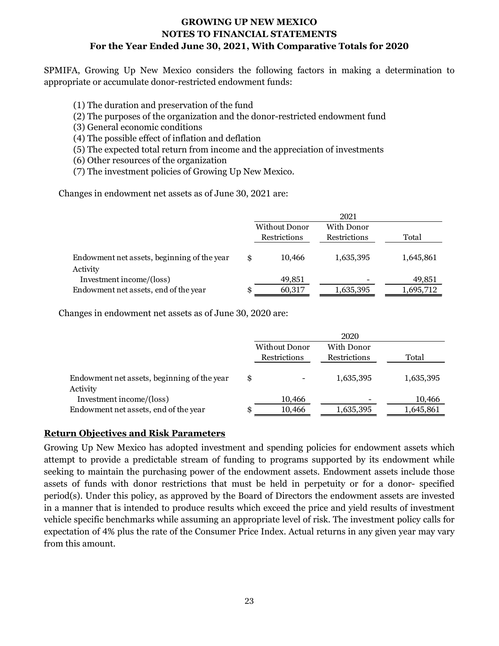SPMIFA, Growing Up New Mexico considers the following factors in making a determination to appropriate or accumulate donor-restricted endowment funds:

- (1) The duration and preservation of the fund
- (2) The purposes of the organization and the donor-restricted endowment fund
- (3) General economic conditions
- (4) The possible effect of inflation and deflation
- (5) The expected total return from income and the appreciation of investments
- (6) Other resources of the organization
- (7) The investment policies of Growing Up New Mexico.

Changes in endowment net assets as of June 30, 2021 are:

|                                             |    |                      | 2021         |           |
|---------------------------------------------|----|----------------------|--------------|-----------|
|                                             |    | <b>Without Donor</b> | With Donor   |           |
|                                             |    | Restrictions         | Restrictions | Total     |
|                                             |    |                      |              |           |
| Endowment net assets, beginning of the year | \$ | 10,466               | 1,635,395    | 1,645,861 |
| Activity                                    |    |                      |              |           |
| Investment income/(loss)                    |    | 49,851               |              | 49,851    |
| Endowment net assets, end of the year       | æ  | 60,317               | 1,635,395    | 1,695,712 |

Changes in endowment net assets as of June 30, 2020 are:

|                                             |                      | 2020         |           |
|---------------------------------------------|----------------------|--------------|-----------|
|                                             | <b>Without Donor</b> | With Donor   |           |
|                                             | Restrictions         | Restrictions | Total     |
|                                             |                      |              |           |
| Endowment net assets, beginning of the year | \$                   | 1,635,395    | 1,635,395 |
| Activity                                    |                      |              |           |
| Investment income/(loss)                    | 10,466               |              | 10,466    |
| Endowment net assets, end of the year       | \$<br>10,466         | 1,635,395    | 1,645,861 |

#### **Return Objectives and Risk Parameters**

Growing Up New Mexico has adopted investment and spending policies for endowment assets which attempt to provide a predictable stream of funding to programs supported by its endowment while seeking to maintain the purchasing power of the endowment assets. Endowment assets include those assets of funds with donor restrictions that must be held in perpetuity or for a donor- specified period(s). Under this policy, as approved by the Board of Directors the endowment assets are invested in a manner that is intended to produce results which exceed the price and yield results of investment vehicle specific benchmarks while assuming an appropriate level of risk. The investment policy calls for expectation of 4% plus the rate of the Consumer Price Index. Actual returns in any given year may vary from this amount.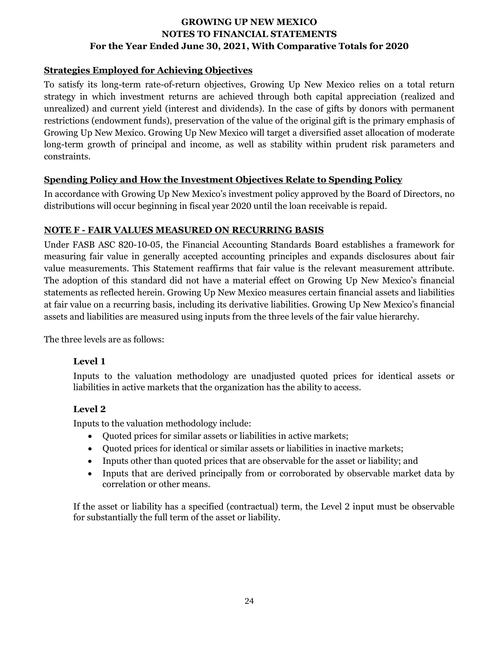### **Strategies Employed for Achieving Objectives**

To satisfy its long-term rate-of-return objectives, Growing Up New Mexico relies on a total return strategy in which investment returns are achieved through both capital appreciation (realized and unrealized) and current yield (interest and dividends). In the case of gifts by donors with permanent restrictions (endowment funds), preservation of the value of the original gift is the primary emphasis of Growing Up New Mexico. Growing Up New Mexico will target a diversified asset allocation of moderate long-term growth of principal and income, as well as stability within prudent risk parameters and constraints.

#### **Spending Policy and How the Investment Objectives Relate to Spending Policy**

In accordance with Growing Up New Mexico's investment policy approved by the Board of Directors, no distributions will occur beginning in fiscal year 2020 until the loan receivable is repaid.

#### **NOTE F - FAIR VALUES MEASURED ON RECURRING BASIS**

Under FASB ASC 820-10-05, the Financial Accounting Standards Board establishes a framework for measuring fair value in generally accepted accounting principles and expands disclosures about fair value measurements. This Statement reaffirms that fair value is the relevant measurement attribute. The adoption of this standard did not have a material effect on Growing Up New Mexico's financial statements as reflected herein. Growing Up New Mexico measures certain financial assets and liabilities at fair value on a recurring basis, including its derivative liabilities. Growing Up New Mexico's financial assets and liabilities are measured using inputs from the three levels of the fair value hierarchy.

The three levels are as follows:

# **Level 1**

Inputs to the valuation methodology are unadjusted quoted prices for identical assets or liabilities in active markets that the organization has the ability to access.

# **Level 2**

Inputs to the valuation methodology include:

- Quoted prices for similar assets or liabilities in active markets;
- Quoted prices for identical or similar assets or liabilities in inactive markets;
- Inputs other than quoted prices that are observable for the asset or liability; and
- Inputs that are derived principally from or corroborated by observable market data by correlation or other means.

If the asset or liability has a specified (contractual) term, the Level 2 input must be observable for substantially the full term of the asset or liability.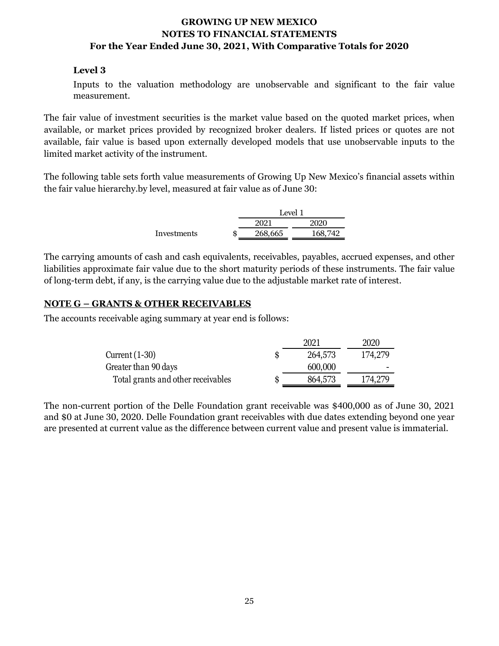#### **Level 3**

Inputs to the valuation methodology are unobservable and significant to the fair value measurement.

The fair value of investment securities is the market value based on the quoted market prices, when available, or market prices provided by recognized broker dealers. If listed prices or quotes are not available, fair value is based upon externally developed models that use unobservable inputs to the limited market activity of the instrument.

The following table sets forth value measurements of Growing Up New Mexico's financial assets within the fair value hierarchy.by level, measured at fair value as of June 30:

|             |              | Level 1 |  |  |
|-------------|--------------|---------|--|--|
|             | 2021<br>2020 |         |  |  |
| Investments | 268,665      | 168,742 |  |  |

The carrying amounts of cash and cash equivalents, receivables, payables, accrued expenses, and other liabilities approximate fair value due to the short maturity periods of these instruments. The fair value of long-term debt, if any, is the carrying value due to the adjustable market rate of interest.

#### **NOTE G – GRANTS & OTHER RECEIVABLES**

The accounts receivable aging summary at year end is follows:

|                                    |   | 2021    | 2020    |
|------------------------------------|---|---------|---------|
| Current $(1-30)$                   | S | 264,573 | 174,279 |
| Greater than 90 days               |   | 600,000 |         |
| Total grants and other receivables |   | 864,573 | 174,279 |

The non-current portion of the Delle Foundation grant receivable was \$400,000 as of June 30, 2021 and \$0 at June 30, 2020. Delle Foundation grant receivables with due dates extending beyond one year are presented at current value as the difference between current value and present value is immaterial.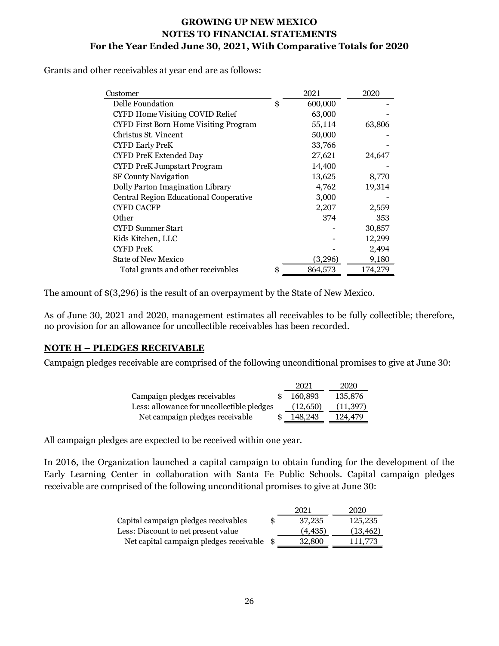Grants and other receivables at year end are as follows:

| Customer                               | 2021          | 2020    |
|----------------------------------------|---------------|---------|
| Delle Foundation                       | \$<br>600,000 |         |
| <b>CYFD Home Visiting COVID Relief</b> | 63,000        |         |
| CYFD First Born Home Visiting Program  | 55,114        | 63,806  |
| Christus St. Vincent                   | 50,000        |         |
| <b>CYFD Early PreK</b>                 | 33,766        |         |
| <b>CYFD PreK Extended Day</b>          | 27,621        | 24,647  |
| <b>CYFD PreK Jumpstart Program</b>     | 14,400        |         |
| SF County Navigation                   | 13,625        | 8,770   |
| Dolly Parton Imagination Library       | 4,762         | 19,314  |
| Central Region Educational Cooperative | 3,000         |         |
| <b>CYFD CACFP</b>                      | 2,207         | 2,559   |
| Other                                  | 374           | 353     |
| <b>CYFD Summer Start</b>               |               | 30,857  |
| Kids Kitchen, LLC                      |               | 12,299  |
| <b>CYFD PreK</b>                       |               | 2,494   |
| <b>State of New Mexico</b>             | (3,296)       | 9,180   |
| Total grants and other receivables     | \$<br>864,573 | 174,279 |

The amount of \$(3,296) is the result of an overpayment by the State of New Mexico.

As of June 30, 2021 and 2020, management estimates all receivables to be fully collectible; therefore, no provision for an allowance for uncollectible receivables has been recorded.

# **NOTE H – PLEDGES RECEIVABLE**

Campaign pledges receivable are comprised of the following unconditional promises to give at June 30:

|                                           | 2021     | 2020      |
|-------------------------------------------|----------|-----------|
| Campaign pledges receivables              | 160,893  | 135,876   |
| Less: allowance for uncollectible pledges | (12,650) | (11, 397) |
| Net campaign pledges receivable           | 148,243  | 124.479   |

All campaign pledges are expected to be received within one year.

In 2016, the Organization launched a capital campaign to obtain funding for the development of the Early Learning Center in collaboration with Santa Fe Public Schools. Capital campaign pledges receivable are comprised of the following unconditional promises to give at June 30:

|                                         |     | 2021     | 2020      |
|-----------------------------------------|-----|----------|-----------|
| Capital campaign pledges receivables    | \$. | 37.235   | 125,235   |
| Less: Discount to net present value     |     | (4, 435) | (13, 462) |
| Net capital campaign pledges receivable | -8  | 32,800   | 111,773   |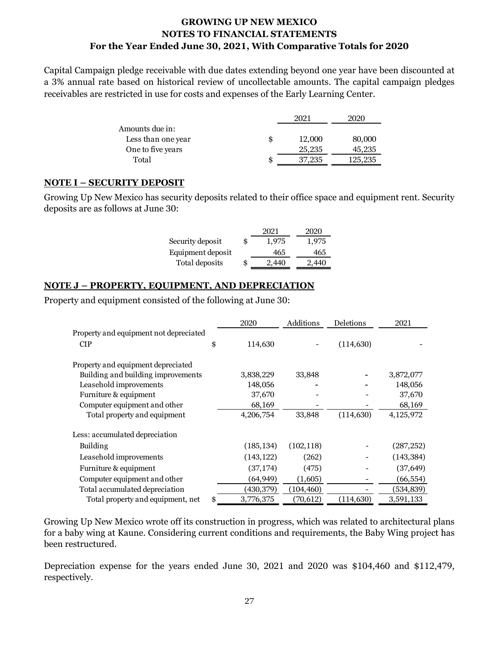Capital Campaign pledge receivable with due dates extending beyond one year have been discounted at a 3% annual rate based on historical review of uncollectable amounts. The capital campaign pledges receivables are restricted in use for costs and expenses of the Early Learning Center.

|                    |   | 202.   | 2020    |
|--------------------|---|--------|---------|
| Amounts due in:    |   |        |         |
| Less than one year |   | 12,000 | 80,000  |
| One to five years  |   | 25,235 | 45,235  |
| Total              | S | '.235  | 125,235 |
|                    |   |        |         |

#### **NOTE I – SECURITY DEPOSIT**

Growing Up New Mexico has security deposits related to their office space and equipment rent. Security deposits are as follows at June 30:

|                   | 2021        | 2020  |
|-------------------|-------------|-------|
| Security deposit  | \$<br>1.975 | 1.975 |
| Equipment deposit | 465         | 465   |
| Total deposits    | \$<br>2.440 | 2.440 |

#### **NOTE J – PROPERTY, EQUIPMENT, AND DEPRECIATION**

Property and equipment consisted of the following at June 30:

|                                        | 2020            | Additions  | Deletions  | 2021        |
|----------------------------------------|-----------------|------------|------------|-------------|
| Property and equipment not depreciated |                 |            |            |             |
| <b>CIP</b>                             | \$<br>114,630   |            | (114, 630) |             |
| Property and equipment depreciated     |                 |            |            |             |
| Building and building improvements     | 3,838,229       | 33,848     |            | 3,872,077   |
| Leasehold improvements                 | 148,056         |            |            | 148,056     |
| Furniture & equipment                  | 37,670          |            |            | 37,670      |
| Computer equipment and other           | 68,169          |            |            | 68,169      |
| Total property and equipment           | 4,206,754       | 33,848     | (114, 630) | 4, 125, 972 |
| Less: accumulated depreciation         |                 |            |            |             |
| Building                               | (185, 134)      | (102, 118) |            | (287, 252)  |
| Leasehold improvements                 | (143, 122)      | (262)      |            | (143, 384)  |
| Furniture & equipment                  | (37, 174)       | (475)      |            | (37, 649)   |
| Computer equipment and other           | (64, 949)       | (1,605)    |            | (66, 554)   |
| Total accumulated depreciation         | (430, 379)      | (104, 460) |            | (534, 839)  |
| Total property and equipment, net      | \$<br>3,776,375 | (70, 612)  | (114, 630) | 3,591,133   |

Growing Up New Mexico wrote off its construction in progress, which was related to architectural plans for a baby wing at Kaune. Considering current conditions and requirements, the Baby Wing project has been restructured.

Depreciation expense for the years ended June 30, 2021 and 2020 was \$104,460 and \$112,479, respectively.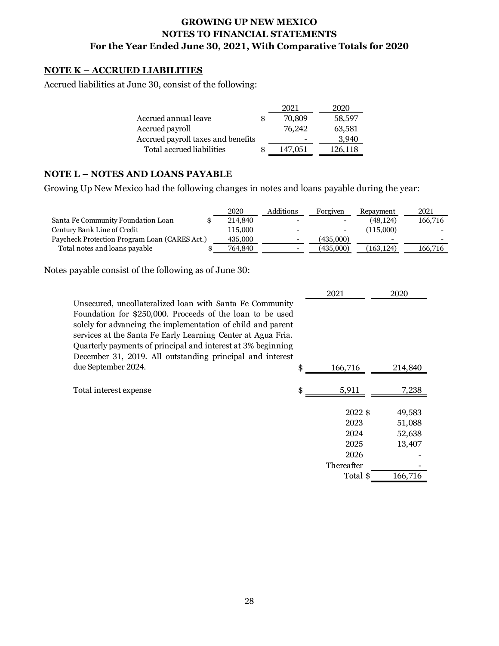#### **NOTE K – ACCRUED LIABILITIES**

Accrued liabilities at June 30, consist of the following:

|                                    | 2021          | 2020    |
|------------------------------------|---------------|---------|
| Accrued annual leave               | \$<br>70,809  | 58,597  |
| Accrued payroll                    | 76.242        | 63,581  |
| Accrued payroll taxes and benefits |               | 3.940   |
| Total accrued liabilities          | \$<br>147.051 | 126,118 |

#### **NOTE L – NOTES AND LOANS PAYABLE**

Growing Up New Mexico had the following changes in notes and loans payable during the year:

|                                               | 2020    | Additions                | Forgiven  | Repayment  | 2021    |
|-----------------------------------------------|---------|--------------------------|-----------|------------|---------|
| Santa Fe Community Foundation Loan            | 214,840 | $\overline{\phantom{a}}$ |           | (48,124)   | 166,716 |
| Century Bank Line of Credit                   | 115,000 | $\overline{\phantom{0}}$ |           | (115.000)  |         |
| Paycheck Protection Program Loan (CARES Act.) | 435,000 | $\overline{\phantom{a}}$ | (435.000) | -          | -       |
| Total notes and loans payable<br>æ            | 764.840 | -                        | (435.000) | (163, 124) | 166,716 |

Notes payable consist of the following as of June 30:

|                                                              | 2021          | 2020    |
|--------------------------------------------------------------|---------------|---------|
| Unsecured, uncollateralized loan with Santa Fe Community     |               |         |
| Foundation for \$250,000. Proceeds of the loan to be used    |               |         |
| solely for advancing the implementation of child and parent  |               |         |
| services at the Santa Fe Early Learning Center at Agua Fria. |               |         |
| Quarterly payments of principal and interest at 3% beginning |               |         |
| December 31, 2019. All outstanding principal and interest    |               |         |
| due September 2024.                                          | \$<br>166,716 | 214,840 |
|                                                              |               |         |
| Total interest expense                                       | \$<br>5.911   | 7,238   |
|                                                              |               |         |
|                                                              | 2022 \$       | 49,583  |
|                                                              | 2023          | 51,088  |

2024 52,638 2025 13,407

Total \$ 166,716

2026 Thereafter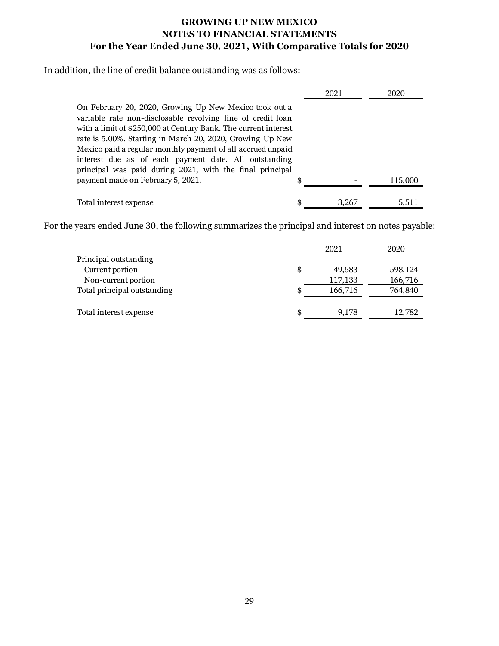In addition, the line of credit balance outstanding was as follows:

|                                                                                                                                                                                                                                                                                                                                                                                                                                           | 2021  | 2020    |
|-------------------------------------------------------------------------------------------------------------------------------------------------------------------------------------------------------------------------------------------------------------------------------------------------------------------------------------------------------------------------------------------------------------------------------------------|-------|---------|
| On February 20, 2020, Growing Up New Mexico took out a<br>variable rate non-disclosable revolving line of credit loan<br>with a limit of \$250,000 at Century Bank. The current interest<br>rate is 5.00%. Starting in March 20, 2020, Growing Up New<br>Mexico paid a regular monthly payment of all accrued unpaid<br>interest due as of each payment date. All outstanding<br>principal was paid during 2021, with the final principal |       |         |
| payment made on February 5, 2021.                                                                                                                                                                                                                                                                                                                                                                                                         | \$    | 115,000 |
| Total interest expense                                                                                                                                                                                                                                                                                                                                                                                                                    | 3.267 | 5.511   |

For the years ended June 30, the following summarizes the principal and interest on notes payable:

|                             |    | 2021    | 2020    |
|-----------------------------|----|---------|---------|
| Principal outstanding       |    |         |         |
| Current portion             | \$ | 49.583  | 598,124 |
| Non-current portion         |    | 117,133 | 166,716 |
| Total principal outstanding | \$ | 166,716 | 764,840 |
|                             |    |         |         |
| Total interest expense      | £. | 9.178   | 12,782  |
|                             |    |         |         |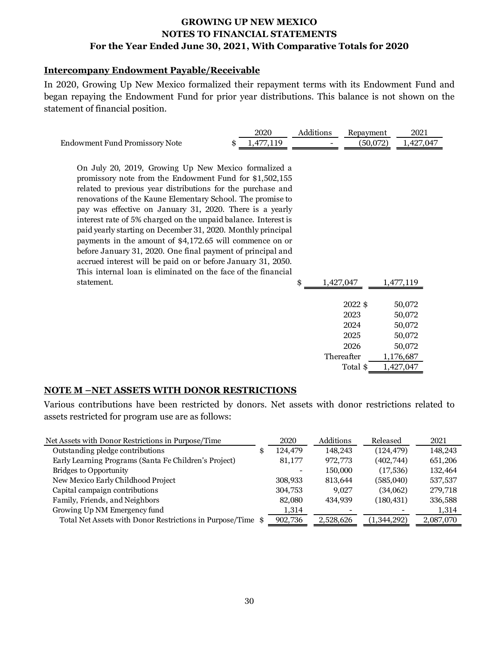#### **Intercompany Endowment Payable/Receivable**

In 2020, Growing Up New Mexico formalized their repayment terms with its Endowment Fund and began repaying the Endowment Fund for prior year distributions. This balance is not shown on the statement of financial position.

|                                                                                                                                                                                                                                                                                                                                                                                                                                                                                                                                                                                                                                                                                                        | 2020            | Additions |           | Repayment                                                         | 2021                                                                     |
|--------------------------------------------------------------------------------------------------------------------------------------------------------------------------------------------------------------------------------------------------------------------------------------------------------------------------------------------------------------------------------------------------------------------------------------------------------------------------------------------------------------------------------------------------------------------------------------------------------------------------------------------------------------------------------------------------------|-----------------|-----------|-----------|-------------------------------------------------------------------|--------------------------------------------------------------------------|
| Endowment Fund Promissory Note                                                                                                                                                                                                                                                                                                                                                                                                                                                                                                                                                                                                                                                                         | \$<br>1,477,119 |           |           | (50,072)                                                          | 1,427,047                                                                |
| On July 20, 2019, Growing Up New Mexico formalized a<br>promissory note from the Endowment Fund for \$1,502,155<br>related to previous year distributions for the purchase and<br>renovations of the Kaune Elementary School. The promise to<br>pay was effective on January 31, 2020. There is a yearly<br>interest rate of 5% charged on the unpaid balance. Interest is<br>paid yearly starting on December 31, 2020. Monthly principal<br>payments in the amount of \$4,172.65 will commence on or<br>before January 31, 2020. One final payment of principal and<br>accrued interest will be paid on or before January 31, 2050.<br>This internal loan is eliminated on the face of the financial |                 |           |           |                                                                   |                                                                          |
| statement.                                                                                                                                                                                                                                                                                                                                                                                                                                                                                                                                                                                                                                                                                             |                 | \$        | 1,427,047 |                                                                   | 1,477,119                                                                |
|                                                                                                                                                                                                                                                                                                                                                                                                                                                                                                                                                                                                                                                                                                        |                 |           |           | 2022 \$<br>2023<br>2024<br>2025<br>2026<br>Thereafter<br>Total \$ | 50,072<br>50,072<br>50,072<br>50,072<br>50,072<br>1,176,687<br>1,427,047 |

#### **NOTE M –NET ASSETS WITH DONOR RESTRICTIONS**

Various contributions have been restricted by donors. Net assets with donor restrictions related to assets restricted for program use are as follows:

| Net Assets with Donor Restrictions in Purpose/Time          | 2020    | Additions | Released    | 2021      |
|-------------------------------------------------------------|---------|-----------|-------------|-----------|
| Outstanding pledge contributions                            | 124,479 | 148.243   | (124, 479)  | 148,243   |
| Early Learning Programs (Santa Fe Children's Project)       | 81,177  | 972,773   | (402,744)   | 651,206   |
| <b>Bridges to Opportunity</b>                               |         | 150,000   | (17, 536)   | 132,464   |
| New Mexico Early Childhood Project                          | 308,933 | 813.644   | (585,040)   | 537,537   |
| Capital campaign contributions                              | 304,753 | 9.027     | (34,062)    | 279,718   |
| Family, Friends, and Neighbors                              | 82,080  | 434.939   | (180, 431)  | 336,588   |
| Growing Up NM Emergency fund                                | 1,314   |           |             | 1,314     |
| Total Net Assets with Donor Restrictions in Purpose/Time \$ | 902,736 | 2,528,626 | (1,344,292) | 2,087,070 |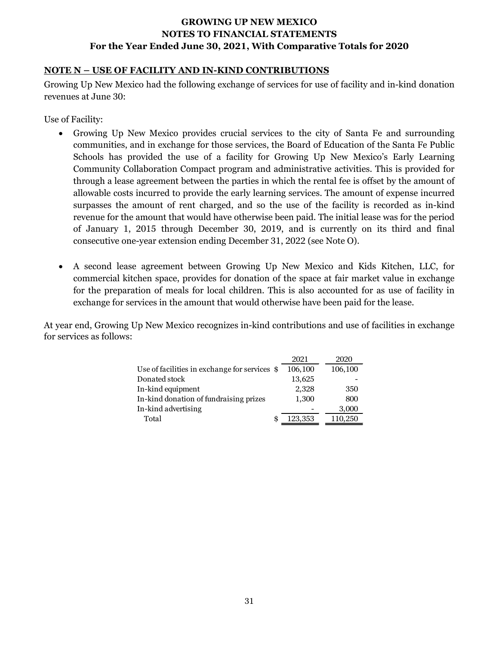#### **NOTE N – USE OF FACILITY AND IN-KIND CONTRIBUTIONS**

Growing Up New Mexico had the following exchange of services for use of facility and in-kind donation revenues at June 30:

Use of Facility:

- Growing Up New Mexico provides crucial services to the city of Santa Fe and surrounding communities, and in exchange for those services, the Board of Education of the Santa Fe Public Schools has provided the use of a facility for Growing Up New Mexico's Early Learning Community Collaboration Compact program and administrative activities. This is provided for through a lease agreement between the parties in which the rental fee is offset by the amount of allowable costs incurred to provide the early learning services. The amount of expense incurred surpasses the amount of rent charged, and so the use of the facility is recorded as in-kind revenue for the amount that would have otherwise been paid. The initial lease was for the period of January 1, 2015 through December 30, 2019, and is currently on its third and final consecutive one-year extension ending December 31, 2022 (see Note O).
- A second lease agreement between Growing Up New Mexico and Kids Kitchen, LLC, for commercial kitchen space, provides for donation of the space at fair market value in exchange for the preparation of meals for local children. This is also accounted for as use of facility in exchange for services in the amount that would otherwise have been paid for the lease.

At year end, Growing Up New Mexico recognizes in-kind contributions and use of facilities in exchange for services as follows:

|                                               | 2021    | 2020    |
|-----------------------------------------------|---------|---------|
| Use of facilities in exchange for services \$ | 106,100 | 106,100 |
| Donated stock                                 | 13,625  |         |
| In-kind equipment                             | 2,328   | 350     |
| In-kind donation of fundraising prizes        | 1,300   | 800     |
| In-kind advertising                           |         | 3,000   |
| Total<br>S                                    | 123,353 | 110,250 |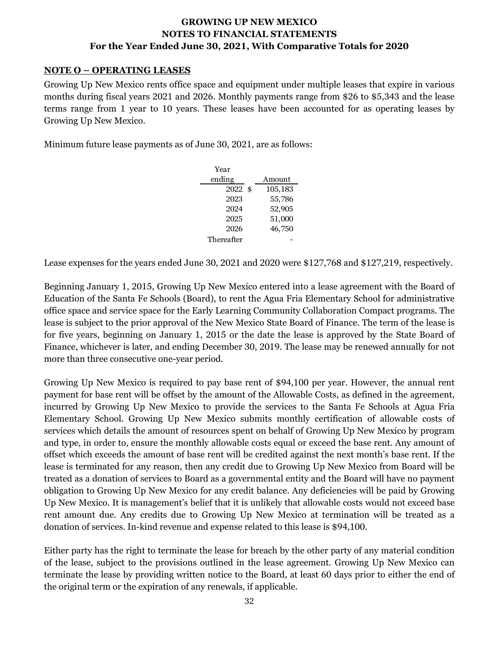#### **NOTE O – OPERATING LEASES**

Growing Up New Mexico rents office space and equipment under multiple leases that expire in various months during fiscal years 2021 and 2026. Monthly payments range from \$26 to \$5,343 and the lease terms range from 1 year to 10 years. These leases have been accounted for as operating leases by Growing Up New Mexico.

Minimum future lease payments as of June 30, 2021, are as follows:

| Year       |         |
|------------|---------|
| ending     | Amount  |
| $2022$ \$  | 105,183 |
| 2023       | 55,786  |
| 2024       | 52,905  |
| 2025       | 51,000  |
| 2026       | 46,750  |
| Thereafter |         |

Lease expenses for the years ended June 30, 2021 and 2020 were \$127,768 and \$127,219, respectively.

Beginning January 1, 2015, Growing Up New Mexico entered into a lease agreement with the Board of Education of the Santa Fe Schools (Board), to rent the Agua Fria Elementary School for administrative office space and service space for the Early Learning Community Collaboration Compact programs. The lease is subject to the prior approval of the New Mexico State Board of Finance. The term of the lease is for five years, beginning on January 1, 2015 or the date the lease is approved by the State Board of Finance, whichever is later, and ending December 30, 2019. The lease may be renewed annually for not more than three consecutive one-year period.

Growing Up New Mexico is required to pay base rent of \$94,100 per year. However, the annual rent payment for base rent will be offset by the amount of the Allowable Costs, as defined in the agreement, incurred by Growing Up New Mexico to provide the services to the Santa Fe Schools at Agua Fria Elementary School. Growing Up New Mexico submits monthly certification of allowable costs of services which details the amount of resources spent on behalf of Growing Up New Mexico by program and type, in order to, ensure the monthly allowable costs equal or exceed the base rent. Any amount of offset which exceeds the amount of base rent will be credited against the next month's base rent. If the lease is terminated for any reason, then any credit due to Growing Up New Mexico from Board will be treated as a donation of services to Board as a governmental entity and the Board will have no payment obligation to Growing Up New Mexico for any credit balance. Any deficiencies will be paid by Growing Up New Mexico. It is management's belief that it is unlikely that allowable costs would not exceed base rent amount due. Any credits due to Growing Up New Mexico at termination will be treated as a donation of services. In-kind revenue and expense related to this lease is \$94,100.

Either party has the right to terminate the lease for breach by the other party of any material condition of the lease, subject to the provisions outlined in the lease agreement. Growing Up New Mexico can terminate the lease by providing written notice to the Board, at least 60 days prior to either the end of the original term or the expiration of any renewals, if applicable.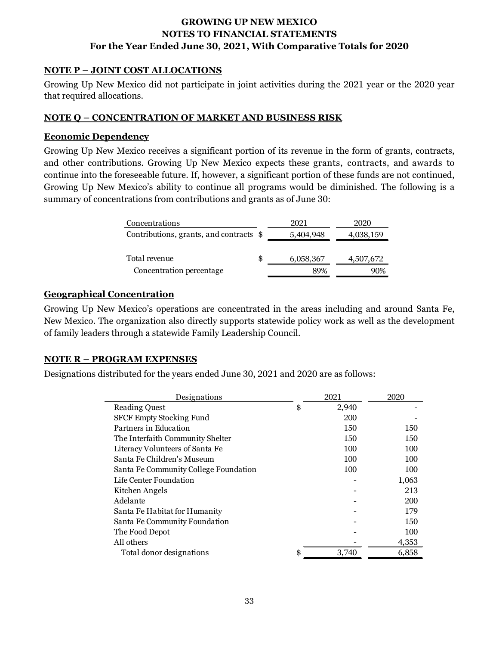#### **NOTE P – JOINT COST ALLOCATIONS**

Growing Up New Mexico did not participate in joint activities during the 2021 year or the 2020 year that required allocations.

#### **NOTE Q – CONCENTRATION OF MARKET AND BUSINESS RISK**

#### **Economic Dependency**

Growing Up New Mexico receives a significant portion of its revenue in the form of grants, contracts, and other contributions. Growing Up New Mexico expects these grants, contracts, and awards to continue into the foreseeable future. If, however, a significant portion of these funds are not continued, Growing Up New Mexico's ability to continue all programs would be diminished. The following is a summary of concentrations from contributions and grants as of June 30:

| Concentrations                          |   | 2021      | 2020      |
|-----------------------------------------|---|-----------|-----------|
| Contributions, grants, and contracts \$ |   | 5,404,948 | 4,038,159 |
|                                         |   |           |           |
| Total revenue                           | S | 6,058,367 | 4,507,672 |
| Concentration percentage                |   | 89%       | 90%       |

#### **Geographical Concentration**

Growing Up New Mexico's operations are concentrated in the areas including and around Santa Fe, New Mexico. The organization also directly supports statewide policy work as well as the development of family leaders through a statewide Family Leadership Council.

#### **NOTE R – PROGRAM EXPENSES**

Designations distributed for the years ended June 30, 2021 and 2020 are as follows:

| <b>Reading Quest</b><br>\$<br>2,940<br><b>SFCF Empty Stocking Fund</b><br>200<br>Partners in Education |            |
|--------------------------------------------------------------------------------------------------------|------------|
|                                                                                                        |            |
|                                                                                                        |            |
|                                                                                                        | 150<br>150 |
| The Interfaith Community Shelter<br>150                                                                | 150        |
| Literacy Volunteers of Santa Fe<br>100                                                                 | 100        |
| Santa Fe Children's Museum<br>100                                                                      | 100        |
| Santa Fe Community College Foundation<br>100                                                           | 100        |
| Life Center Foundation                                                                                 | 1,063      |
| Kitchen Angels                                                                                         | 213        |
| Adelante                                                                                               | 200        |
| Santa Fe Habitat for Humanity                                                                          | 179        |
| Santa Fe Community Foundation                                                                          | 150        |
| The Food Depot                                                                                         | 100        |
| All others                                                                                             | 4,353      |
| Total donor designations<br>\$<br>3,740                                                                | 6,858      |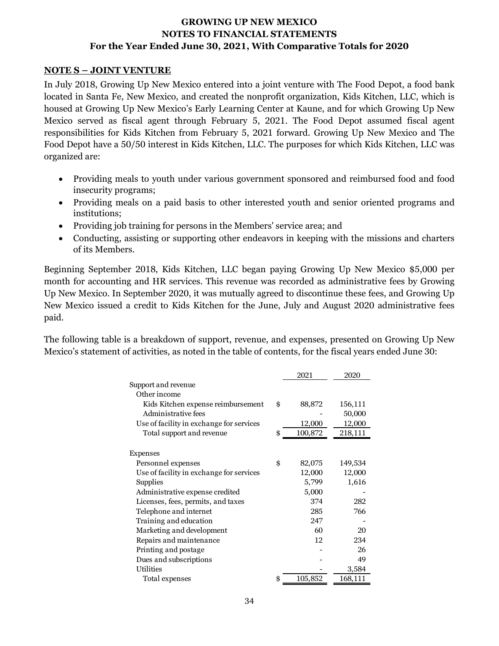#### **NOTE S – JOINT VENTURE**

In July 2018, Growing Up New Mexico entered into a joint venture with The Food Depot, a food bank located in Santa Fe, New Mexico, and created the nonprofit organization, Kids Kitchen, LLC, which is housed at Growing Up New Mexico's Early Learning Center at Kaune, and for which Growing Up New Mexico served as fiscal agent through February 5, 2021. The Food Depot assumed fiscal agent responsibilities for Kids Kitchen from February 5, 2021 forward. Growing Up New Mexico and The Food Depot have a 50/50 interest in Kids Kitchen, LLC. The purposes for which Kids Kitchen, LLC was organized are:

- Providing meals to youth under various government sponsored and reimbursed food and food insecurity programs;
- Providing meals on a paid basis to other interested youth and senior oriented programs and institutions;
- Providing job training for persons in the Members' service area; and
- Conducting, assisting or supporting other endeavors in keeping with the missions and charters of its Members.

Beginning September 2018, Kids Kitchen, LLC began paying Growing Up New Mexico \$5,000 per month for accounting and HR services. This revenue was recorded as administrative fees by Growing Up New Mexico. In September 2020, it was mutually agreed to discontinue these fees, and Growing Up New Mexico issued a credit to Kids Kitchen for the June, July and August 2020 administrative fees paid.

The following table is a breakdown of support, revenue, and expenses, presented on Growing Up New Mexico's statement of activities, as noted in the table of contents, for the fiscal years ended June 30:

|                                          | 2021          | 2020    |
|------------------------------------------|---------------|---------|
| Support and revenue                      |               |         |
| Other income                             |               |         |
| Kids Kitchen expense reimbursement       | \$<br>88,872  | 156,111 |
| Administrative fees                      |               | 50,000  |
| Use of facility in exchange for services | 12,000        | 12,000  |
| Total support and revenue                | \$<br>100,872 | 218,111 |
|                                          |               |         |
| Expenses                                 |               |         |
| Personnel expenses                       | \$<br>82,075  | 149,534 |
| Use of facility in exchange for services | 12,000        | 12,000  |
| Supplies                                 | 5,799         | 1,616   |
| Administrative expense credited          | 5,000         |         |
| Licenses, fees, permits, and taxes       | 374           | 282     |
| Telephone and internet                   | 285           | 766     |
| Training and education                   | 247           |         |
| Marketing and development                | 60            | 20      |
| Repairs and maintenance                  | 12            | 234     |
| Printing and postage                     |               | 26      |
| Dues and subscriptions                   |               | 49      |
| Utilities                                |               | 3,584   |
| Total expenses                           | \$<br>105,852 | 168,111 |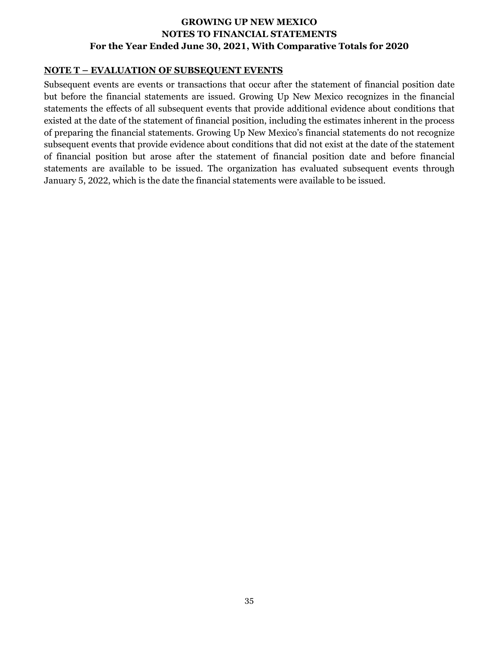#### **NOTE T – EVALUATION OF SUBSEQUENT EVENTS**

Subsequent events are events or transactions that occur after the statement of financial position date but before the financial statements are issued. Growing Up New Mexico recognizes in the financial statements the effects of all subsequent events that provide additional evidence about conditions that existed at the date of the statement of financial position, including the estimates inherent in the process of preparing the financial statements. Growing Up New Mexico's financial statements do not recognize subsequent events that provide evidence about conditions that did not exist at the date of the statement of financial position but arose after the statement of financial position date and before financial statements are available to be issued. The organization has evaluated subsequent events through January 5, 2022, which is the date the financial statements were available to be issued.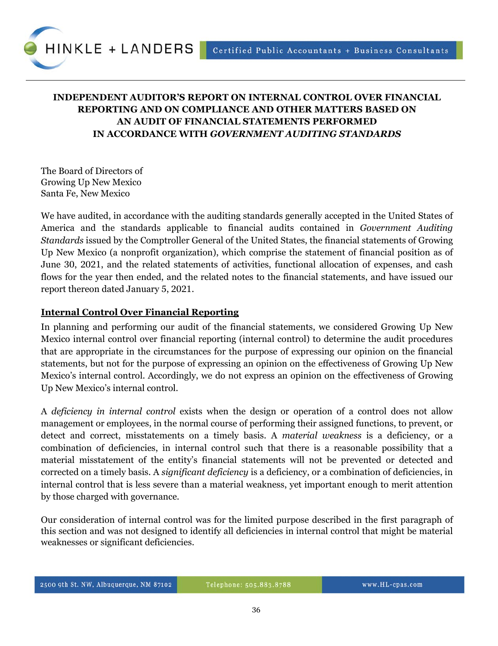

# **INDEPENDENT AUDITOR'S REPORT ON INTERNAL CONTROL OVER FINANCIAL REPORTING AND ON COMPLIANCE AND OTHER MATTERS BASED ON AN AUDIT OF FINANCIAL STATEMENTS PERFORMED IN ACCORDANCE WITH** *GOVERNMENT AUDITING STANDARDS*

The Board of Directors of Growing Up New Mexico Santa Fe, New Mexico

We have audited, in accordance with the auditing standards generally accepted in the United States of America and the standards applicable to financial audits contained in *Government Auditing Standards* issued by the Comptroller General of the United States, the financial statements of Growing Up New Mexico (a nonprofit organization), which comprise the statement of financial position as of June 30, 2021, and the related statements of activities, functional allocation of expenses, and cash flows for the year then ended, and the related notes to the financial statements, and have issued our report thereon dated January 5, 2021.

#### **Internal Control Over Financial Reporting**

In planning and performing our audit of the financial statements, we considered Growing Up New Mexico internal control over financial reporting (internal control) to determine the audit procedures that are appropriate in the circumstances for the purpose of expressing our opinion on the financial statements, but not for the purpose of expressing an opinion on the effectiveness of Growing Up New Mexico's internal control. Accordingly, we do not express an opinion on the effectiveness of Growing Up New Mexico's internal control.

A *deficiency in internal control* exists when the design or operation of a control does not allow management or employees, in the normal course of performing their assigned functions, to prevent, or detect and correct, misstatements on a timely basis. A *material weakness* is a deficiency, or a combination of deficiencies, in internal control such that there is a reasonable possibility that a material misstatement of the entity's financial statements will not be prevented or detected and corrected on a timely basis. A *significant deficiency* is a deficiency, or a combination of deficiencies, in internal control that is less severe than a material weakness, yet important enough to merit attention by those charged with governance.

Our consideration of internal control was for the limited purpose described in the first paragraph of this section and was not designed to identify all deficiencies in internal control that might be material weaknesses or significant deficiencies.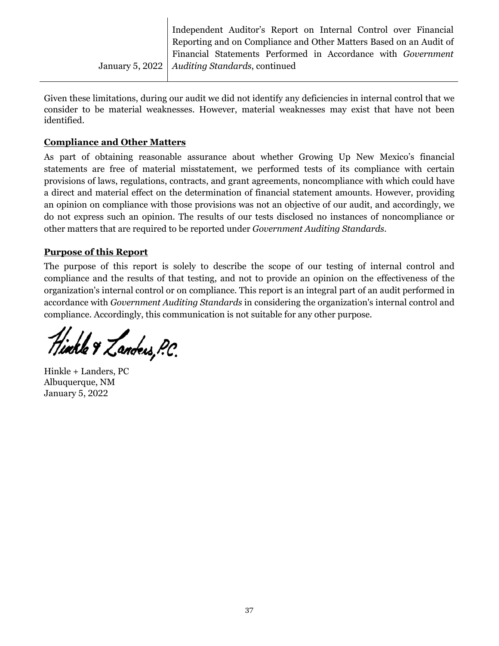January 5, 2022 Independent Auditor's Report on Internal Control over Financial Reporting and on Compliance and Other Matters Based on an Audit of Financial Statements Performed in Accordance with *Government Auditing Standards*, continued

Given these limitations, during our audit we did not identify any deficiencies in internal control that we consider to be material weaknesses. However, material weaknesses may exist that have not been identified.

# **Compliance and Other Matters**

As part of obtaining reasonable assurance about whether Growing Up New Mexico's financial statements are free of material misstatement, we performed tests of its compliance with certain provisions of laws, regulations, contracts, and grant agreements, noncompliance with which could have a direct and material effect on the determination of financial statement amounts. However, providing an opinion on compliance with those provisions was not an objective of our audit, and accordingly, we do not express such an opinion. The results of our tests disclosed no instances of noncompliance or other matters that are required to be reported under *Government Auditing Standards*.

# **Purpose of this Report**

The purpose of this report is solely to describe the scope of our testing of internal control and compliance and the results of that testing, and not to provide an opinion on the effectiveness of the organization's internal control or on compliance. This report is an integral part of an audit performed in accordance with *Government Auditing Standards* in considering the organization's internal control and compliance. Accordingly, this communication is not suitable for any other purpose.

Hinkle & Landers, P.C.

Hinkle + Landers, PC Albuquerque, NM January 5, 2022